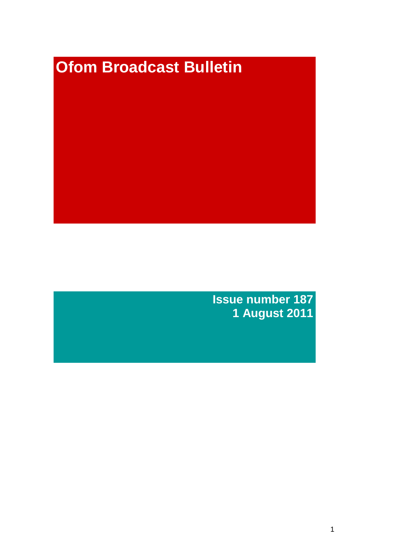# **Ofom Broadcast Bulletin**

**Issue number 187 1 August 2011**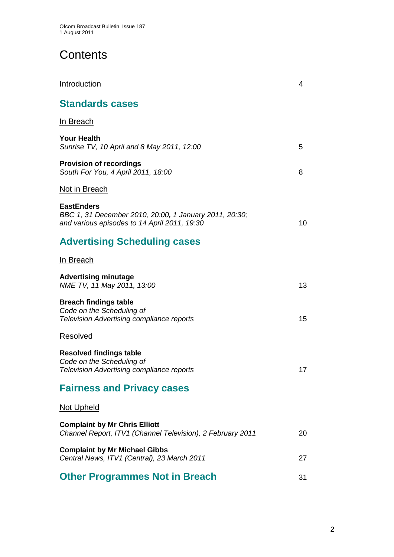# **Contents**

| Introduction                                                                                                                | 4  |
|-----------------------------------------------------------------------------------------------------------------------------|----|
| <b>Standards cases</b>                                                                                                      |    |
| In Breach                                                                                                                   |    |
| <b>Your Health</b><br>Sunrise TV, 10 April and 8 May 2011, 12:00                                                            | 5  |
| <b>Provision of recordings</b><br>South For You, 4 April 2011, 18:00                                                        | 8  |
| <u>Not in Breach</u>                                                                                                        |    |
| <b>EastEnders</b><br>BBC 1, 31 December 2010, 20:00, 1 January 2011, 20:30;<br>and various episodes to 14 April 2011, 19:30 | 10 |
| <b>Advertising Scheduling cases</b>                                                                                         |    |
| In Breach                                                                                                                   |    |
| <b>Advertising minutage</b><br>NME TV, 11 May 2011, 13:00                                                                   | 13 |
| <b>Breach findings table</b><br>Code on the Scheduling of<br><b>Television Advertising compliance reports</b>               | 15 |
| Resolved                                                                                                                    |    |
| <b>Resolved findings table</b><br>Code on the Scheduling of<br>Television Advertising compliance reports                    | 17 |
| <b>Fairness and Privacy cases</b>                                                                                           |    |
| <u>Not Upheld</u>                                                                                                           |    |
| <b>Complaint by Mr Chris Elliott</b><br>Channel Report, ITV1 (Channel Television), 2 February 2011                          | 20 |
| <b>Complaint by Mr Michael Gibbs</b><br>Central News, ITV1 (Central), 23 March 2011                                         | 27 |
| <b>Other Programmes Not in Breach</b>                                                                                       | 31 |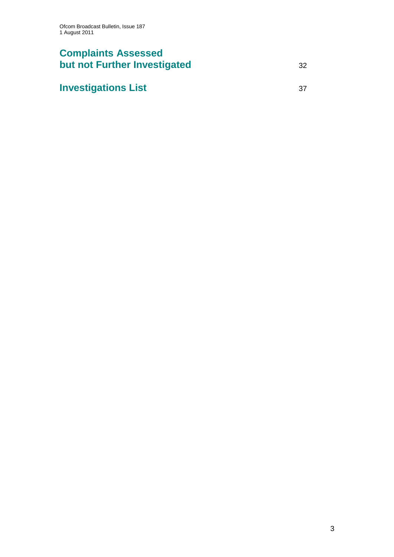# **Complaints Assessed but not Further Investigated** 32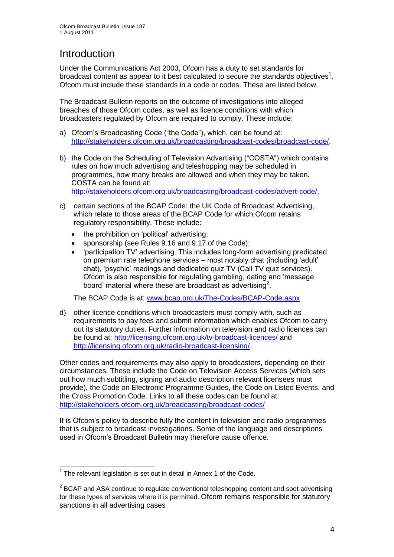# **Introduction**

Under the Communications Act 2003, Ofcom has a duty to set standards for broadcast content as appear to it best calculated to secure the standards objectives<sup>1</sup>, Ofcom must include these standards in a code or codes. These are listed below.

The Broadcast Bulletin reports on the outcome of investigations into alleged breaches of those Ofcom codes, as well as licence conditions with which broadcasters regulated by Ofcom are required to comply. These include:

- a) Ofcom"s Broadcasting Code ("the Code"), which, can be found at: [http://stakeholders.ofcom.org.uk/broadcasting/broadcast-codes/broadcast-code/.](http://stakeholders.ofcom.org.uk/broadcasting/broadcast-codes/broadcast-code/)
- b) the Code on the Scheduling of Television Advertising ("COSTA") which contains rules on how much advertising and teleshopping may be scheduled in programmes, how many breaks are allowed and when they may be taken. COSTA can be found at: [http://stakeholders.ofcom.org.uk/broadcasting/broadcast-codes/advert-code/.](http://stakeholders.ofcom.org.uk/broadcasting/broadcast-codes/advert-code/)
- c) certain sections of the BCAP Code: the UK Code of Broadcast Advertising, which relate to those areas of the BCAP Code for which Ofcom retains regulatory responsibility. These include:
	- the prohibition on 'political' advertising;
	- sponsorship (see Rules 9.16 and 9.17 of the Code);
	- "participation TV" advertising. This includes long-form advertising predicated on premium rate telephone services – most notably chat (including "adult" chat), "psychic" readings and dedicated quiz TV (Call TV quiz services). Ofcom is also responsible for regulating gambling, dating and "message board' material where these are broadcast as advertising<sup>2</sup>.

The BCAP Code is at: [www.bcap.org.uk/The-Codes/BCAP-Code.aspx](http://www.bcap.org.uk/The-Codes/BCAP-Code.aspx)

d) other licence conditions which broadcasters must comply with, such as requirements to pay fees and submit information which enables Ofcom to carry out its statutory duties. Further information on television and radio licences can be found at:<http://licensing.ofcom.org.uk/tv-broadcast-licences/> and [http://licensing.ofcom.org.uk/radio-broadcast-licensing/.](http://licensing.ofcom.org.uk/radio-broadcast-licensing/)

Other codes and requirements may also apply to broadcasters, depending on their circumstances. These include the Code on Television Access Services (which sets out how much subtitling, signing and audio description relevant licensees must provide), the Code on Electronic Programme Guides, the Code on Listed Events, and the Cross Promotion Code. Links to all these codes can be found at: <http://stakeholders.ofcom.org.uk/broadcasting/broadcast-codes/>

It is Ofcom"s policy to describe fully the content in television and radio programmes that is subject to broadcast investigations. Some of the language and descriptions used in Ofcom"s Broadcast Bulletin may therefore cause offence.

<sup>1</sup>  $1$  The relevant legislation is set out in detail in Annex 1 of the Code.

 $2$  BCAP and ASA continue to regulate conventional teleshopping content and spot advertising for these types of services where it is permitted. Ofcom remains responsible for statutory sanctions in all advertising cases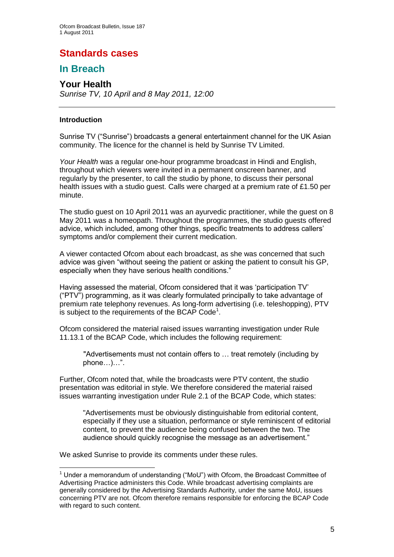# **Standards cases**

## **In Breach**

## **Your Health**

*Sunrise TV, 10 April and 8 May 2011, 12:00*

## **Introduction**

Sunrise TV ("Sunrise") broadcasts a general entertainment channel for the UK Asian community. The licence for the channel is held by Sunrise TV Limited.

*Your Health* was a regular one-hour programme broadcast in Hindi and English, throughout which viewers were invited in a permanent onscreen banner, and regularly by the presenter, to call the studio by phone, to discuss their personal health issues with a studio guest. Calls were charged at a premium rate of £1.50 per minute.

The studio guest on 10 April 2011 was an ayurvedic practitioner, while the guest on 8 May 2011 was a homeopath. Throughout the programmes, the studio guests offered advice, which included, among other things, specific treatments to address callers" symptoms and/or complement their current medication.

A viewer contacted Ofcom about each broadcast, as she was concerned that such advice was given "without seeing the patient or asking the patient to consult his GP, especially when they have serious health conditions."

Having assessed the material, Ofcom considered that it was "participation TV" ("PTV") programming, as it was clearly formulated principally to take advantage of premium rate telephony revenues. As long-form advertising (i.e. teleshopping), PTV is subject to the requirements of the BCAP Code<sup>1</sup>.

Ofcom considered the material raised issues warranting investigation under Rule 11.13.1 of the BCAP Code, which includes the following requirement:

"Advertisements must not contain offers to … treat remotely (including by phone…)…".

Further, Ofcom noted that, while the broadcasts were PTV content, the studio presentation was editorial in style. We therefore considered the material raised issues warranting investigation under Rule 2.1 of the BCAP Code, which states:

"Advertisements must be obviously distinguishable from editorial content, especially if they use a situation, performance or style reminiscent of editorial content, to prevent the audience being confused between the two. The audience should quickly recognise the message as an advertisement."

We asked Sunrise to provide its comments under these rules.

<sup>1</sup>  $<sup>1</sup>$  Under a memorandum of understanding ("MoU") with Ofcom, the Broadcast Committee of</sup> Advertising Practice administers this Code. While broadcast advertising complaints are generally considered by the Advertising Standards Authority, under the same MoU, issues concerning PTV are not. Ofcom therefore remains responsible for enforcing the BCAP Code with regard to such content.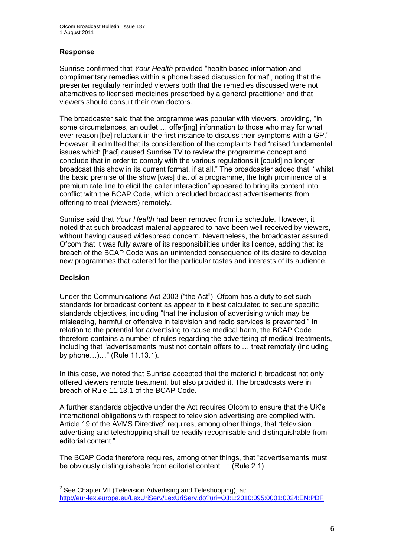## **Response**

Sunrise confirmed that *Your Health* provided "health based information and complimentary remedies within a phone based discussion format", noting that the presenter regularly reminded viewers both that the remedies discussed were not alternatives to licensed medicines prescribed by a general practitioner and that viewers should consult their own doctors.

The broadcaster said that the programme was popular with viewers, providing, "in some circumstances, an outlet ... offer[ing] information to those who may for what ever reason [be] reluctant in the first instance to discuss their symptoms with a GP." However, it admitted that its consideration of the complaints had "raised fundamental issues which [had] caused Sunrise TV to review the programme concept and conclude that in order to comply with the various regulations it [could] no longer broadcast this show in its current format, if at all." The broadcaster added that, "whilst the basic premise of the show [was] that of a programme, the high prominence of a premium rate line to elicit the caller interaction" appeared to bring its content into conflict with the BCAP Code, which precluded broadcast advertisements from offering to treat (viewers) remotely.

Sunrise said that *Your Health* had been removed from its schedule. However, it noted that such broadcast material appeared to have been well received by viewers, without having caused widespread concern. Nevertheless, the broadcaster assured Ofcom that it was fully aware of its responsibilities under its licence, adding that its breach of the BCAP Code was an unintended consequence of its desire to develop new programmes that catered for the particular tastes and interests of its audience.

#### **Decision**

1

Under the Communications Act 2003 ("the Act"), Ofcom has a duty to set such standards for broadcast content as appear to it best calculated to secure specific standards objectives, including "that the inclusion of advertising which may be misleading, harmful or offensive in television and radio services is prevented." In relation to the potential for advertising to cause medical harm, the BCAP Code therefore contains a number of rules regarding the advertising of medical treatments, including that "advertisements must not contain offers to … treat remotely (including by phone…)…" (Rule 11.13.1).

In this case, we noted that Sunrise accepted that the material it broadcast not only offered viewers remote treatment, but also provided it. The broadcasts were in breach of Rule 11.13.1 of the BCAP Code.

A further standards objective under the Act requires Ofcom to ensure that the UK"s international obligations with respect to television advertising are complied with. Article 19 of the AVMS Directive<sup>2</sup> requires, among other things, that "television advertising and teleshopping shall be readily recognisable and distinguishable from editorial content."

The BCAP Code therefore requires, among other things, that "advertisements must be obviously distinguishable from editorial content…" (Rule 2.1).

 $2$  See Chapter VII (Television Advertising and Teleshopping), at: <http://eur-lex.europa.eu/LexUriServ/LexUriServ.do?uri=OJ:L:2010:095:0001:0024:EN:PDF>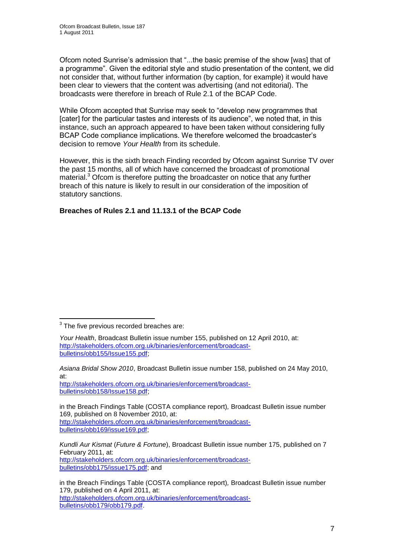Ofcom noted Sunrise"s admission that "...the basic premise of the show [was] that of a programme". Given the editorial style and studio presentation of the content, we did not consider that, without further information (by caption, for example) it would have been clear to viewers that the content was advertising (and not editorial). The broadcasts were therefore in breach of Rule 2.1 of the BCAP Code.

While Ofcom accepted that Sunrise may seek to "develop new programmes that [cater] for the particular tastes and interests of its audience", we noted that, in this instance, such an approach appeared to have been taken without considering fully BCAP Code compliance implications. We therefore welcomed the broadcaster"s decision to remove *Your Health* from its schedule.

However, this is the sixth breach Finding recorded by Ofcom against Sunrise TV over the past 15 months, all of which have concerned the broadcast of promotional material.<sup>3</sup> Ofcom is therefore putting the broadcaster on notice that any further breach of this nature is likely to result in our consideration of the imposition of statutory sanctions.

## **Breaches of Rules 2.1 and 11.13.1 of the BCAP Code**

1

[http://stakeholders.ofcom.org.uk/binaries/enforcement/broadcast](http://stakeholders.ofcom.org.uk/binaries/enforcement/broadcast-bulletins/obb158/Issue158.pdf)[bulletins/obb158/Issue158.pdf;](http://stakeholders.ofcom.org.uk/binaries/enforcement/broadcast-bulletins/obb158/Issue158.pdf)

in the Breach Findings Table (COSTA compliance report)*,* Broadcast Bulletin issue number 169, published on 8 November 2010, at: [http://stakeholders.ofcom.org.uk/binaries/enforcement/broadcast](http://stakeholders.ofcom.org.uk/binaries/enforcement/broadcast-bulletins/obb169/issue169.pdf)[bulletins/obb169/issue169.pdf;](http://stakeholders.ofcom.org.uk/binaries/enforcement/broadcast-bulletins/obb169/issue169.pdf)

*Kundli Aur Kismat* (*Future & Fortune*), Broadcast Bulletin issue number 175, published on 7 February 2011, at: [http://stakeholders.ofcom.org.uk/binaries/enforcement/broadcast](http://stakeholders.ofcom.org.uk/binaries/enforcement/broadcast-bulletins/obb175/issue175.pdf)[bulletins/obb175/issue175.pdf;](http://stakeholders.ofcom.org.uk/binaries/enforcement/broadcast-bulletins/obb175/issue175.pdf) and

in the Breach Findings Table (COSTA compliance report)*,* Broadcast Bulletin issue number 179, published on 4 April 2011, at: [http://stakeholders.ofcom.org.uk/binaries/enforcement/broadcast](http://stakeholders.ofcom.org.uk/binaries/enforcement/broadcast-bulletins/obb179/obb179.pdf)[bulletins/obb179/obb179.pdf.](http://stakeholders.ofcom.org.uk/binaries/enforcement/broadcast-bulletins/obb179/obb179.pdf)

 $3$  The five previous recorded breaches are:

*Your Health*, Broadcast Bulletin issue number 155, published on 12 April 2010, at: [http://stakeholders.ofcom.org.uk/binaries/enforcement/broadcast](http://stakeholders.ofcom.org.uk/binaries/enforcement/broadcast-bulletins/obb155/Issue155.pdf)[bulletins/obb155/Issue155.pdf;](http://stakeholders.ofcom.org.uk/binaries/enforcement/broadcast-bulletins/obb155/Issue155.pdf)

*Asiana Bridal Show 2010*, Broadcast Bulletin issue number 158, published on 24 May 2010, at: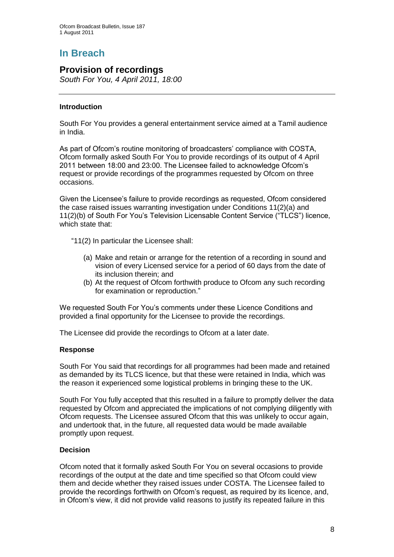# **In Breach**

## **Provision of recordings**

*South For You, 4 April 2011, 18:00*

## **Introduction**

South For You provides a general entertainment service aimed at a Tamil audience in India.

As part of Ofcom"s routine monitoring of broadcasters" compliance with COSTA, Ofcom formally asked South For You to provide recordings of its output of 4 April 2011 between 18:00 and 23:00. The Licensee failed to acknowledge Ofcom"s request or provide recordings of the programmes requested by Ofcom on three occasions.

Given the Licensee"s failure to provide recordings as requested, Ofcom considered the case raised issues warranting investigation under Conditions 11(2)(a) and 11(2)(b) of South For You"s Television Licensable Content Service ("TLCS") licence, which state that:

"11(2) In particular the Licensee shall:

- (a) Make and retain or arrange for the retention of a recording in sound and vision of every Licensed service for a period of 60 days from the date of its inclusion therein; and
- (b) At the request of Ofcom forthwith produce to Ofcom any such recording for examination or reproduction."

We requested South For You"s comments under these Licence Conditions and provided a final opportunity for the Licensee to provide the recordings.

The Licensee did provide the recordings to Ofcom at a later date.

## **Response**

South For You said that recordings for all programmes had been made and retained as demanded by its TLCS licence, but that these were retained in India, which was the reason it experienced some logistical problems in bringing these to the UK.

South For You fully accepted that this resulted in a failure to promptly deliver the data requested by Ofcom and appreciated the implications of not complying diligently with Ofcom requests. The Licensee assured Ofcom that this was unlikely to occur again, and undertook that, in the future, all requested data would be made available promptly upon request.

## **Decision**

Ofcom noted that it formally asked South For You on several occasions to provide recordings of the output at the date and time specified so that Ofcom could view them and decide whether they raised issues under COSTA. The Licensee failed to provide the recordings forthwith on Ofcom"s request, as required by its licence, and, in Ofcom"s view, it did not provide valid reasons to justify its repeated failure in this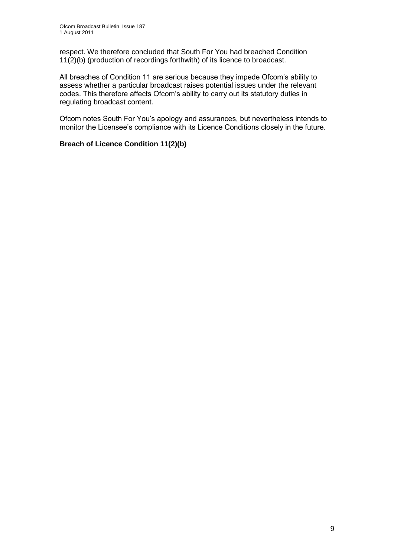respect. We therefore concluded that South For You had breached Condition 11(2)(b) (production of recordings forthwith) of its licence to broadcast.

All breaches of Condition 11 are serious because they impede Ofcom"s ability to assess whether a particular broadcast raises potential issues under the relevant codes. This therefore affects Ofcom"s ability to carry out its statutory duties in regulating broadcast content.

Ofcom notes South For You"s apology and assurances, but nevertheless intends to monitor the Licensee"s compliance with its Licence Conditions closely in the future.

## **Breach of Licence Condition 11(2)(b)**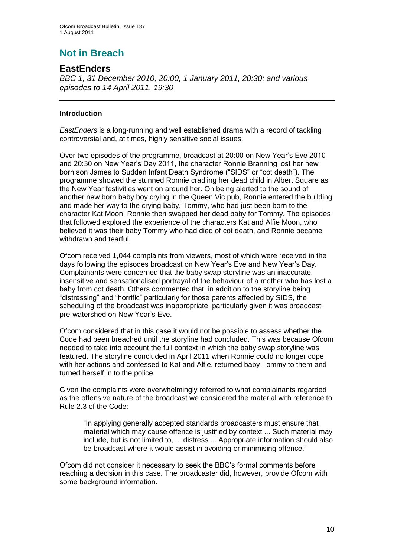# **Not in Breach**

## **EastEnders**

*BBC 1, 31 December 2010, 20:00, 1 January 2011, 20:30; and various episodes to 14 April 2011, 19:30* 

## **Introduction**

*EastEnders* is a long-running and well established drama with a record of tackling controversial and, at times, highly sensitive social issues.

Over two episodes of the programme, broadcast at 20:00 on New Year"s Eve 2010 and 20:30 on New Year"s Day 2011, the character Ronnie Branning lost her new born son James to Sudden Infant Death Syndrome ("SIDS" or "cot death"). The programme showed the stunned Ronnie cradling her dead child in Albert Square as the New Year festivities went on around her. On being alerted to the sound of another new born baby boy crying in the Queen Vic pub, Ronnie entered the building and made her way to the crying baby, Tommy, who had just been born to the character Kat Moon. Ronnie then swapped her dead baby for Tommy. The episodes that followed explored the experience of the characters Kat and Alfie Moon, who believed it was their baby Tommy who had died of cot death, and Ronnie became withdrawn and tearful.

Ofcom received 1,044 complaints from viewers, most of which were received in the days following the episodes broadcast on New Year"s Eve and New Year"s Day. Complainants were concerned that the baby swap storyline was an inaccurate, insensitive and sensationalised portrayal of the behaviour of a mother who has lost a baby from cot death. Others commented that, in addition to the storyline being "distressing" and "horrific" particularly for those parents affected by SIDS, the scheduling of the broadcast was inappropriate, particularly given it was broadcast pre-watershed on New Year"s Eve.

Ofcom considered that in this case it would not be possible to assess whether the Code had been breached until the storyline had concluded. This was because Ofcom needed to take into account the full context in which the baby swap storyline was featured. The storyline concluded in April 2011 when Ronnie could no longer cope with her actions and confessed to Kat and Alfie, returned baby Tommy to them and turned herself in to the police.

Given the complaints were overwhelmingly referred to what complainants regarded as the offensive nature of the broadcast we considered the material with reference to Rule 2.3 of the Code:

"In applying generally accepted standards broadcasters must ensure that material which may cause offence is justified by context ... Such material may include, but is not limited to, ... distress ... Appropriate information should also be broadcast where it would assist in avoiding or minimising offence."

Ofcom did not consider it necessary to seek the BBC"s formal comments before reaching a decision in this case. The broadcaster did, however, provide Ofcom with some background information.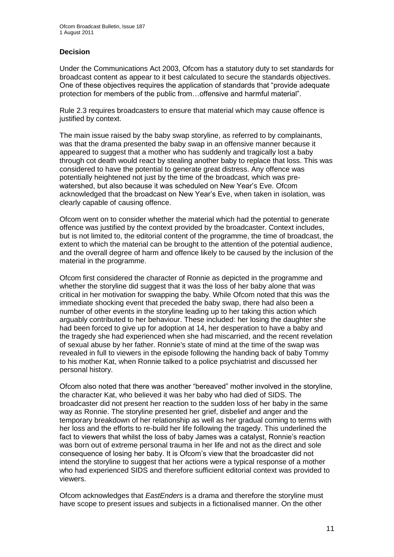## **Decision**

Under the Communications Act 2003, Ofcom has a statutory duty to set standards for broadcast content as appear to it best calculated to secure the standards objectives. One of these objectives requires the application of standards that "provide adequate protection for members of the public from…offensive and harmful material".

Rule 2.3 requires broadcasters to ensure that material which may cause offence is justified by context.

The main issue raised by the baby swap storyline, as referred to by complainants, was that the drama presented the baby swap in an offensive manner because it appeared to suggest that a mother who has suddenly and tragically lost a baby through cot death would react by stealing another baby to replace that loss. This was considered to have the potential to generate great distress. Any offence was potentially heightened not just by the time of the broadcast, which was prewatershed, but also because it was scheduled on New Year"s Eve. Ofcom acknowledged that the broadcast on New Year"s Eve, when taken in isolation, was clearly capable of causing offence.

Ofcom went on to consider whether the material which had the potential to generate offence was justified by the context provided by the broadcaster. Context includes, but is not limited to, the editorial content of the programme, the time of broadcast, the extent to which the material can be brought to the attention of the potential audience, and the overall degree of harm and offence likely to be caused by the inclusion of the material in the programme.

Ofcom first considered the character of Ronnie as depicted in the programme and whether the storyline did suggest that it was the loss of her baby alone that was critical in her motivation for swapping the baby. While Ofcom noted that this was the immediate shocking event that preceded the baby swap, there had also been a number of other events in the storyline leading up to her taking this action which arguably contributed to her behaviour. These included: her losing the daughter she had been forced to give up for adoption at 14, her desperation to have a baby and the tragedy she had experienced when she had miscarried, and the recent revelation of sexual abuse by her father. Ronnie's state of mind at the time of the swap was revealed in full to viewers in the episode following the handing back of baby Tommy to his mother Kat, when Ronnie talked to a police psychiatrist and discussed her personal history.

Ofcom also noted that there was another "bereaved" mother involved in the storyline, the character Kat, who believed it was her baby who had died of SIDS. The broadcaster did not present her reaction to the sudden loss of her baby in the same way as Ronnie. The storyline presented her grief, disbelief and anger and the temporary breakdown of her relationship as well as her gradual coming to terms with her loss and the efforts to re-build her life following the tragedy. This underlined the fact to viewers that whilst the loss of baby James was a catalyst, Ronnie's reaction was born out of extreme personal trauma in her life and not as the direct and sole consequence of losing her baby. It is Ofcom"s view that the broadcaster did not intend the storyline to suggest that her actions were a typical response of a mother who had experienced SIDS and therefore sufficient editorial context was provided to viewers.

Ofcom acknowledges that *EastEnders* is a drama and therefore the storyline must have scope to present issues and subjects in a fictionalised manner. On the other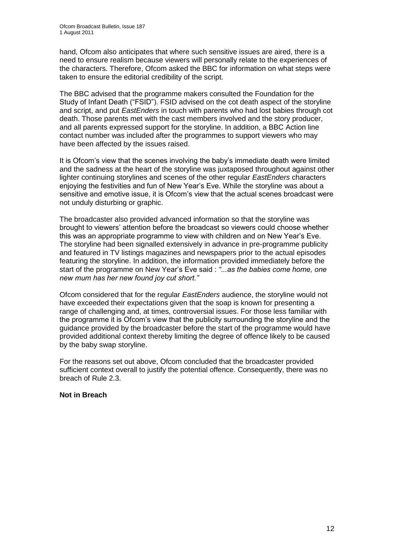hand, Ofcom also anticipates that where such sensitive issues are aired, there is a need to ensure realism because viewers will personally relate to the experiences of the characters. Therefore, Ofcom asked the BBC for information on what steps were taken to ensure the editorial credibility of the script.

The BBC advised that the programme makers consulted the Foundation for the Study of Infant Death ("FSID"). FSID advised on the cot death aspect of the storyline and script, and put *EastEnders* in touch with parents who had lost babies through cot death. Those parents met with the cast members involved and the story producer, and all parents expressed support for the storyline. In addition, a BBC Action line contact number was included after the programmes to support viewers who may have been affected by the issues raised.

It is Ofcom"s view that the scenes involving the baby"s immediate death were limited and the sadness at the heart of the storyline was juxtaposed throughout against other lighter continuing storylines and scenes of the other regular *EastEnders* characters enjoying the festivities and fun of New Year"s Eve. While the storyline was about a sensitive and emotive issue, it is Ofcom"s view that the actual scenes broadcast were not unduly disturbing or graphic.

The broadcaster also provided advanced information so that the storyline was brought to viewers" attention before the broadcast so viewers could choose whether this was an appropriate programme to view with children and on New Year"s Eve. The storyline had been signalled extensively in advance in pre-programme publicity and featured in TV listings magazines and newspapers prior to the actual episodes featuring the storyline. In addition, the information provided immediately before the start of the programme on New Year"s Eve said : *"...as the babies come home, one new mum has her new found joy cut short."* 

Ofcom considered that for the regular *EastEnders* audience, the storyline would not have exceeded their expectations given that the soap is known for presenting a range of challenging and, at times, controversial issues. For those less familiar with the programme it is Ofcom"s view that the publicity surrounding the storyline and the guidance provided by the broadcaster before the start of the programme would have provided additional context thereby limiting the degree of offence likely to be caused by the baby swap storyline.

For the reasons set out above, Ofcom concluded that the broadcaster provided sufficient context overall to justify the potential offence. Consequently, there was no breach of Rule 2.3.

## **Not in Breach**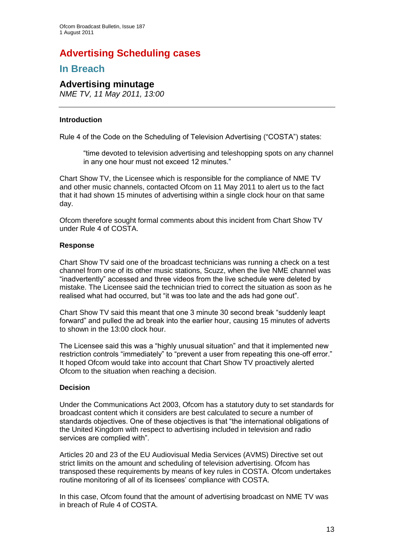# **Advertising Scheduling cases**

## **In Breach**

## **Advertising minutage**

*NME TV, 11 May 2011, 13:00*

## **Introduction**

Rule 4 of the Code on the Scheduling of Television Advertising ("COSTA") states:

"time devoted to television advertising and teleshopping spots on any channel in any one hour must not exceed 12 minutes."

Chart Show TV, the Licensee which is responsible for the compliance of NME TV and other music channels, contacted Ofcom on 11 May 2011 to alert us to the fact that it had shown 15 minutes of advertising within a single clock hour on that same day.

Ofcom therefore sought formal comments about this incident from Chart Show TV under Rule 4 of COSTA.

## **Response**

Chart Show TV said one of the broadcast technicians was running a check on a test channel from one of its other music stations, Scuzz, when the live NME channel was "inadvertently" accessed and three videos from the live schedule were deleted by mistake. The Licensee said the technician tried to correct the situation as soon as he realised what had occurred, but "it was too late and the ads had gone out".

Chart Show TV said this meant that one 3 minute 30 second break "suddenly leapt forward" and pulled the ad break into the earlier hour, causing 15 minutes of adverts to shown in the 13:00 clock hour.

The Licensee said this was a "highly unusual situation" and that it implemented new restriction controls "immediately" to "prevent a user from repeating this one-off error." It hoped Ofcom would take into account that Chart Show TV proactively alerted Ofcom to the situation when reaching a decision.

## **Decision**

Under the Communications Act 2003, Ofcom has a statutory duty to set standards for broadcast content which it considers are best calculated to secure a number of standards objectives. One of these objectives is that "the international obligations of the United Kingdom with respect to advertising included in television and radio services are complied with".

Articles 20 and 23 of the EU Audiovisual Media Services (AVMS) Directive set out strict limits on the amount and scheduling of television advertising. Ofcom has transposed these requirements by means of key rules in COSTA. Ofcom undertakes routine monitoring of all of its licensees' compliance with COSTA.

In this case, Ofcom found that the amount of advertising broadcast on NME TV was in breach of Rule 4 of COSTA.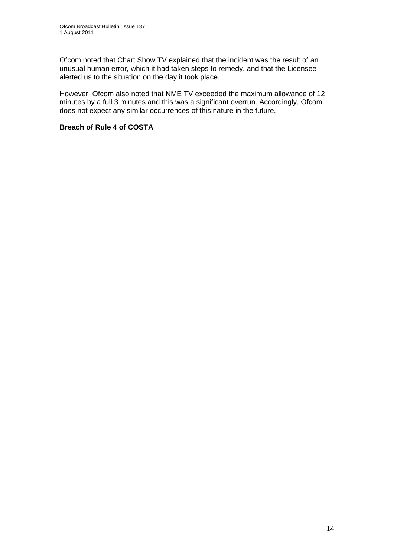Ofcom noted that Chart Show TV explained that the incident was the result of an unusual human error, which it had taken steps to remedy, and that the Licensee alerted us to the situation on the day it took place.

However, Ofcom also noted that NME TV exceeded the maximum allowance of 12 minutes by a full 3 minutes and this was a significant overrun. Accordingly, Ofcom does not expect any similar occurrences of this nature in the future.

## **Breach of Rule 4 of COSTA**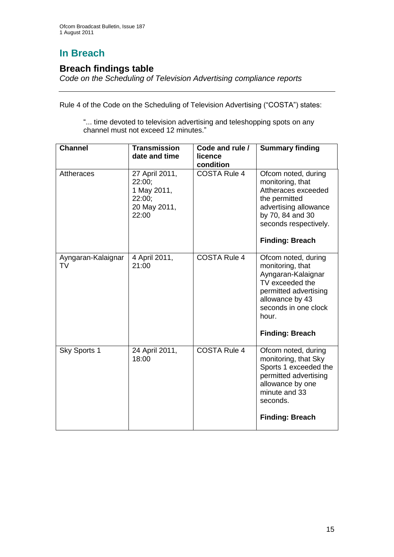# **In Breach**

## **Breach findings table**

*Code on the Scheduling of Television Advertising compliance reports*

Rule 4 of the Code on the Scheduling of Television Advertising ("COSTA") states:

"... time devoted to television advertising and teleshopping spots on any channel must not exceed 12 minutes."

| <b>Channel</b>           | <b>Transmission</b><br>date and time                                       | Code and rule /<br>licence<br>condition | <b>Summary finding</b>                                                                                                                                                                  |
|--------------------------|----------------------------------------------------------------------------|-----------------------------------------|-----------------------------------------------------------------------------------------------------------------------------------------------------------------------------------------|
| <b>Attheraces</b>        | 27 April 2011,<br>22:00:<br>1 May 2011,<br>22:00;<br>20 May 2011,<br>22:00 | <b>COSTA Rule 4</b>                     | Ofcom noted, during<br>monitoring, that<br>Attheraces exceeded<br>the permitted<br>advertising allowance<br>by 70, 84 and 30<br>seconds respectively.<br><b>Finding: Breach</b>         |
| Ayngaran-Kalaignar<br>TV | 4 April 2011,<br>21:00                                                     | <b>COSTA Rule 4</b>                     | Ofcom noted, during<br>monitoring, that<br>Ayngaran-Kalaignar<br>TV exceeded the<br>permitted advertising<br>allowance by 43<br>seconds in one clock<br>hour.<br><b>Finding: Breach</b> |
| Sky Sports 1             | 24 April 2011,<br>18:00                                                    | <b>COSTA Rule 4</b>                     | Ofcom noted, during<br>monitoring, that Sky<br>Sports 1 exceeded the<br>permitted advertising<br>allowance by one<br>minute and 33<br>seconds.<br><b>Finding: Breach</b>                |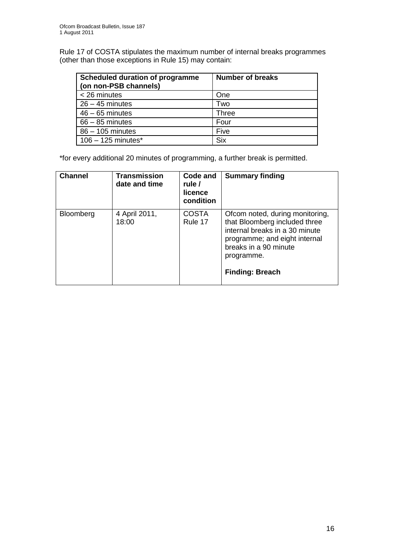Rule 17 of COSTA stipulates the maximum number of internal breaks programmes (other than those exceptions in Rule 15) may contain:

| <b>Scheduled duration of programme</b><br>(on non-PSB channels) | <b>Number of breaks</b> |
|-----------------------------------------------------------------|-------------------------|
| < 26 minutes                                                    | One                     |
| $26 - 45$ minutes                                               | Two                     |
| $46 - 65$ minutes                                               | <b>Three</b>            |
| $66 - 85$ minutes                                               | Four                    |
| $86 - 105$ minutes                                              | Five                    |
| $106 - 125$ minutes*                                            | <b>Six</b>              |

\*for every additional 20 minutes of programming, a further break is permitted.

| <b>Channel</b> | <b>Transmission</b><br>date and time | Code and<br>rule /<br>licence<br>condition | <b>Summary finding</b>                                                                                                                                                                               |
|----------------|--------------------------------------|--------------------------------------------|------------------------------------------------------------------------------------------------------------------------------------------------------------------------------------------------------|
| Bloomberg      | 4 April 2011,<br>18:00               | <b>COSTA</b><br>Rule 17                    | Ofcom noted, during monitoring,<br>that Bloomberg included three<br>internal breaks in a 30 minute<br>programme; and eight internal<br>breaks in a 90 minute<br>programme.<br><b>Finding: Breach</b> |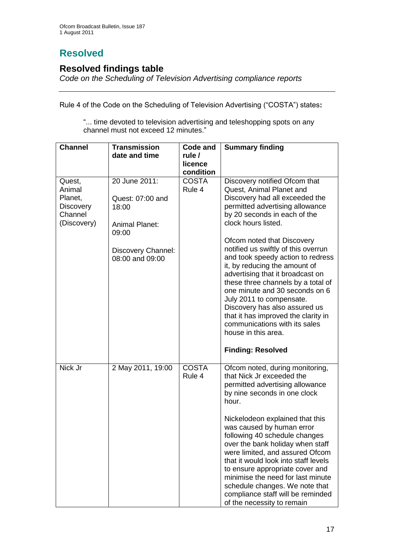# **Resolved**

## **Resolved findings table**

*Code on the Scheduling of Television Advertising compliance reports*

Rule 4 of the Code on the Scheduling of Television Advertising ("COSTA") states**:**

"... time devoted to television advertising and teleshopping spots on any channel must not exceed 12 minutes."

| <b>Channel</b>                                                            | <b>Transmission</b><br>date and time                                                                                  | Code and<br>rule /<br>licence<br>condition | <b>Summary finding</b>                                                                                                                                                                                                                                                                                                                                                                                                                                                                                                                                                                                   |
|---------------------------------------------------------------------------|-----------------------------------------------------------------------------------------------------------------------|--------------------------------------------|----------------------------------------------------------------------------------------------------------------------------------------------------------------------------------------------------------------------------------------------------------------------------------------------------------------------------------------------------------------------------------------------------------------------------------------------------------------------------------------------------------------------------------------------------------------------------------------------------------|
| Quest,<br>Animal<br>Planet,<br><b>Discovery</b><br>Channel<br>(Discovery) | 20 June 2011:<br>Quest: 07:00 and<br>18:00<br><b>Animal Planet:</b><br>09:00<br>Discovery Channel:<br>08:00 and 09:00 | <b>COSTA</b><br>Rule 4                     | Discovery notified Ofcom that<br>Quest, Animal Planet and<br>Discovery had all exceeded the<br>permitted advertising allowance<br>by 20 seconds in each of the<br>clock hours listed.<br>Ofcom noted that Discovery<br>notified us swiftly of this overrun<br>and took speedy action to redress<br>it, by reducing the amount of<br>advertising that it broadcast on<br>these three channels by a total of<br>one minute and 30 seconds on 6<br>July 2011 to compensate.<br>Discovery has also assured us<br>that it has improved the clarity in<br>communications with its sales<br>house in this area. |
|                                                                           |                                                                                                                       |                                            | <b>Finding: Resolved</b>                                                                                                                                                                                                                                                                                                                                                                                                                                                                                                                                                                                 |
| Nick Jr                                                                   | 2 May 2011, 19:00                                                                                                     | <b>COSTA</b><br>Rule 4                     | Ofcom noted, during monitoring,<br>that Nick Jr exceeded the<br>permitted advertising allowance<br>by nine seconds in one clock<br>hour.<br>Nickelodeon explained that this<br>was caused by human error<br>following 40 schedule changes<br>over the bank holiday when staff<br>were limited, and assured Ofcom<br>that it would look into staff levels<br>to ensure appropriate cover and<br>minimise the need for last minute<br>schedule changes. We note that<br>compliance staff will be reminded<br>of the necessity to remain                                                                    |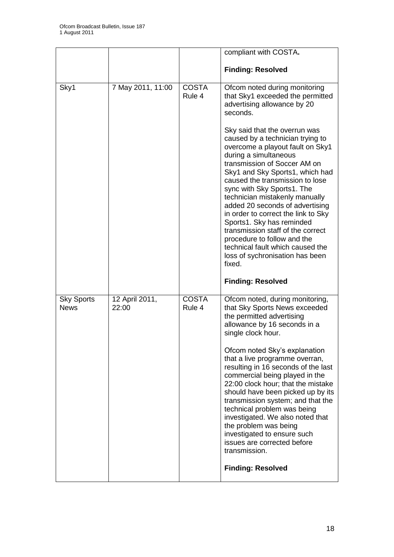|                                  |                         |                        | compliant with COSTA.                                                                                                                                                                                                                                                                                                                                                                                                                                                                                                                                                                                                  |
|----------------------------------|-------------------------|------------------------|------------------------------------------------------------------------------------------------------------------------------------------------------------------------------------------------------------------------------------------------------------------------------------------------------------------------------------------------------------------------------------------------------------------------------------------------------------------------------------------------------------------------------------------------------------------------------------------------------------------------|
|                                  |                         |                        | <b>Finding: Resolved</b>                                                                                                                                                                                                                                                                                                                                                                                                                                                                                                                                                                                               |
| Sky1                             | 7 May 2011, 11:00       | <b>COSTA</b><br>Rule 4 | Ofcom noted during monitoring<br>that Sky1 exceeded the permitted<br>advertising allowance by 20<br>seconds.                                                                                                                                                                                                                                                                                                                                                                                                                                                                                                           |
|                                  |                         |                        | Sky said that the overrun was<br>caused by a technician trying to<br>overcome a playout fault on Sky1<br>during a simultaneous<br>transmission of Soccer AM on<br>Sky1 and Sky Sports1, which had<br>caused the transmission to lose<br>sync with Sky Sports1. The<br>technician mistakenly manually<br>added 20 seconds of advertising<br>in order to correct the link to Sky<br>Sports1. Sky has reminded<br>transmission staff of the correct<br>procedure to follow and the<br>technical fault which caused the<br>loss of sychronisation has been<br>fixed.                                                       |
|                                  |                         |                        | <b>Finding: Resolved</b>                                                                                                                                                                                                                                                                                                                                                                                                                                                                                                                                                                                               |
| <b>Sky Sports</b><br><b>News</b> | 12 April 2011,<br>22:00 | <b>COSTA</b><br>Rule 4 | Ofcom noted, during monitoring,<br>that Sky Sports News exceeded<br>the permitted advertising<br>allowance by 16 seconds in a<br>single clock hour.<br>Ofcom noted Sky's explanation<br>that a live programme overran,<br>resulting in 16 seconds of the last<br>commercial being played in the<br>22:00 clock hour; that the mistake<br>should have been picked up by its<br>transmission system; and that the<br>technical problem was being<br>investigated. We also noted that<br>the problem was being<br>investigated to ensure such<br>issues are corrected before<br>transmission.<br><b>Finding: Resolved</b> |
|                                  |                         |                        |                                                                                                                                                                                                                                                                                                                                                                                                                                                                                                                                                                                                                        |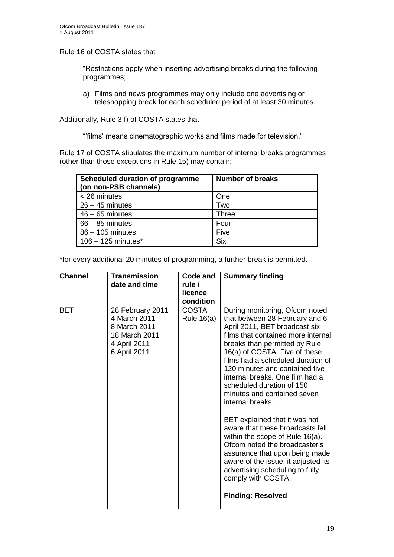Rule 16 of COSTA states that

"Restrictions apply when inserting advertising breaks during the following programmes;

a) Films and news programmes may only include one advertising or teleshopping break for each scheduled period of at least 30 minutes.

Additionally, Rule 3 f) of COSTA states that

""films" means cinematographic works and films made for television."

Rule 17 of COSTA stipulates the maximum number of internal breaks programmes (other than those exceptions in Rule 15) may contain:

| <b>Scheduled duration of programme</b><br>(on non-PSB channels) | <b>Number of breaks</b> |
|-----------------------------------------------------------------|-------------------------|
| < 26 minutes                                                    | One                     |
| $26 - 45$ minutes                                               | Two                     |
| $46 - 65$ minutes                                               | Three                   |
| $66 - 85$ minutes                                               | Four                    |
| 86 - 105 minutes                                                | Five                    |
| $106 - 125$ minutes*                                            | <b>Six</b>              |

\*for every additional 20 minutes of programming, a further break is permitted.

| <b>Channel</b> | <b>Transmission</b><br>date and time                                                              | Code and<br>rule /<br>licence<br>condition | <b>Summary finding</b>                                                                                                                                                                                                                                                                                                                                                                                                                                                                                                                                                                                                                                                                                     |
|----------------|---------------------------------------------------------------------------------------------------|--------------------------------------------|------------------------------------------------------------------------------------------------------------------------------------------------------------------------------------------------------------------------------------------------------------------------------------------------------------------------------------------------------------------------------------------------------------------------------------------------------------------------------------------------------------------------------------------------------------------------------------------------------------------------------------------------------------------------------------------------------------|
| <b>BET</b>     | 28 February 2011<br>4 March 2011<br>8 March 2011<br>18 March 2011<br>4 April 2011<br>6 April 2011 | <b>COSTA</b><br>Rule $16(a)$               | During monitoring, Ofcom noted<br>that between 28 February and 6<br>April 2011, BET broadcast six<br>films that contained more internal<br>breaks than permitted by Rule<br>16(a) of COSTA. Five of these<br>films had a scheduled duration of<br>120 minutes and contained five<br>internal breaks. One film had a<br>scheduled duration of 150<br>minutes and contained seven<br>internal breaks.<br>BET explained that it was not<br>aware that these broadcasts fell<br>within the scope of Rule 16(a).<br>Ofcom noted the broadcaster's<br>assurance that upon being made<br>aware of the issue, it adjusted its<br>advertising scheduling to fully<br>comply with COSTA.<br><b>Finding: Resolved</b> |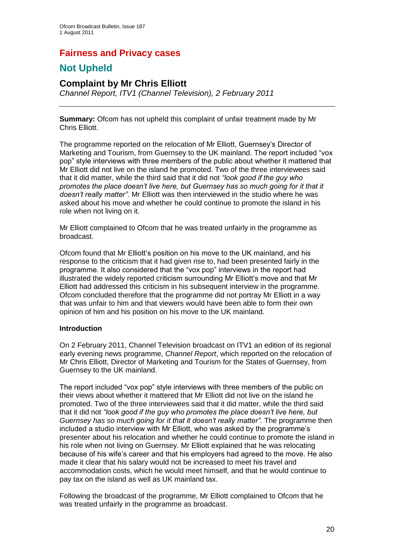## **Fairness and Privacy cases**

# **Not Upheld**

## **Complaint by Mr Chris Elliott**

*Channel Report, ITV1 (Channel Television), 2 February 2011*

**Summary:** Ofcom has not upheld this complaint of unfair treatment made by Mr Chris Elliott.

The programme reported on the relocation of Mr Elliott, Guernsey"s Director of Marketing and Tourism, from Guernsey to the UK mainland. The report included "vox pop" style interviews with three members of the public about whether it mattered that Mr Elliott did not live on the island he promoted. Two of the three interviewees said that it did matter, while the third said that it did not *"look good if the guy who promotes the place doesn't live here, but Guernsey has so much going for it that it doesn't really matter"*. Mr Elliott was then interviewed in the studio where he was asked about his move and whether he could continue to promote the island in his role when not living on it.

Mr Elliott complained to Ofcom that he was treated unfairly in the programme as broadcast.

Ofcom found that Mr Elliott"s position on his move to the UK mainland, and his response to the criticism that it had given rise to, had been presented fairly in the programme. It also considered that the "vox pop" interviews in the report had illustrated the widely reported criticism surrounding Mr Elliott's move and that Mr Elliott had addressed this criticism in his subsequent interview in the programme. Ofcom concluded therefore that the programme did not portray Mr Elliott in a way that was unfair to him and that viewers would have been able to form their own opinion of him and his position on his move to the UK mainland.

## **Introduction**

On 2 February 2011, Channel Television broadcast on ITV1 an edition of its regional early evening news programme, *Channel Report*, which reported on the relocation of Mr Chris Elliott, Director of Marketing and Tourism for the States of Guernsey, from Guernsey to the UK mainland.

The report included "vox pop" style interviews with three members of the public on their views about whether it mattered that Mr Elliott did not live on the island he promoted. Two of the three interviewees said that it did matter, while the third said that it did not *"look good if the guy who promotes the place doesn't live here, but Guernsey has so much going for it that it doesn't really matter"*. The programme then included a studio interview with Mr Elliott, who was asked by the programme"s presenter about his relocation and whether he could continue to promote the island in his role when not living on Guernsey. Mr Elliott explained that he was relocating because of his wife"s career and that his employers had agreed to the move. He also made it clear that his salary would not be increased to meet his travel and accommodation costs, which he would meet himself, and that he would continue to pay tax on the island as well as UK mainland tax.

Following the broadcast of the programme, Mr Elliott complained to Ofcom that he was treated unfairly in the programme as broadcast.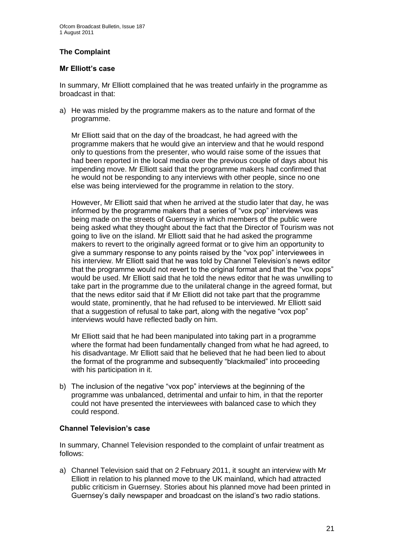## **The Complaint**

## **Mr Elliott's case**

In summary, Mr Elliott complained that he was treated unfairly in the programme as broadcast in that:

a) He was misled by the programme makers as to the nature and format of the programme.

Mr Elliott said that on the day of the broadcast, he had agreed with the programme makers that he would give an interview and that he would respond only to questions from the presenter, who would raise some of the issues that had been reported in the local media over the previous couple of days about his impending move. Mr Elliott said that the programme makers had confirmed that he would not be responding to any interviews with other people, since no one else was being interviewed for the programme in relation to the story.

However, Mr Elliott said that when he arrived at the studio later that day, he was informed by the programme makers that a series of "vox pop" interviews was being made on the streets of Guernsey in which members of the public were being asked what they thought about the fact that the Director of Tourism was not going to live on the island. Mr Elliott said that he had asked the programme makers to revert to the originally agreed format or to give him an opportunity to give a summary response to any points raised by the "vox pop" interviewees in his interview. Mr Elliott said that he was told by Channel Television"s news editor that the programme would not revert to the original format and that the "vox pops" would be used. Mr Elliott said that he told the news editor that he was unwilling to take part in the programme due to the unilateral change in the agreed format, but that the news editor said that if Mr Elliott did not take part that the programme would state, prominently, that he had refused to be interviewed. Mr Elliott said that a suggestion of refusal to take part, along with the negative "vox pop" interviews would have reflected badly on him.

Mr Elliott said that he had been manipulated into taking part in a programme where the format had been fundamentally changed from what he had agreed, to his disadvantage. Mr Elliott said that he believed that he had been lied to about the format of the programme and subsequently "blackmailed" into proceeding with his participation in it.

b) The inclusion of the negative "vox pop" interviews at the beginning of the programme was unbalanced, detrimental and unfair to him, in that the reporter could not have presented the interviewees with balanced case to which they could respond.

## **Channel Television's case**

In summary, Channel Television responded to the complaint of unfair treatment as follows:

a) Channel Television said that on 2 February 2011, it sought an interview with Mr Elliott in relation to his planned move to the UK mainland, which had attracted public criticism in Guernsey. Stories about his planned move had been printed in Guernsey"s daily newspaper and broadcast on the island"s two radio stations.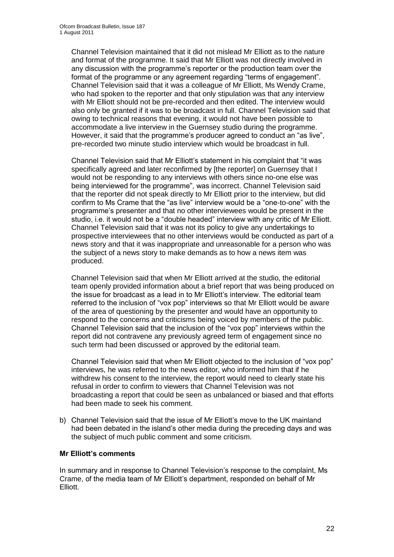Channel Television maintained that it did not mislead Mr Elliott as to the nature and format of the programme. It said that Mr Elliott was not directly involved in any discussion with the programme's reporter or the production team over the format of the programme or any agreement regarding "terms of engagement". Channel Television said that it was a colleague of Mr Elliott, Ms Wendy Crame, who had spoken to the reporter and that only stipulation was that any interview with Mr Elliott should not be pre-recorded and then edited. The interview would also only be granted if it was to be broadcast in full. Channel Television said that owing to technical reasons that evening, it would not have been possible to accommodate a live interview in the Guernsey studio during the programme. However, it said that the programme's producer agreed to conduct an "as live". pre-recorded two minute studio interview which would be broadcast in full.

Channel Television said that Mr Elliott"s statement in his complaint that "it was specifically agreed and later reconfirmed by [the reporter] on Guernsey that I would not be responding to any interviews with others since no-one else was being interviewed for the programme", was incorrect. Channel Television said that the reporter did not speak directly to Mr Elliott prior to the interview, but did confirm to Ms Crame that the "as live" interview would be a "one-to-one" with the programme"s presenter and that no other interviewees would be present in the studio, i.e. it would not be a "double headed" interview with any critic of Mr Elliott. Channel Television said that it was not its policy to give any undertakings to prospective interviewees that no other interviews would be conducted as part of a news story and that it was inappropriate and unreasonable for a person who was the subject of a news story to make demands as to how a news item was produced.

Channel Television said that when Mr Elliott arrived at the studio, the editorial team openly provided information about a brief report that was being produced on the issue for broadcast as a lead in to Mr Elliott"s interview. The editorial team referred to the inclusion of "vox pop" interviews so that Mr Elliott would be aware of the area of questioning by the presenter and would have an opportunity to respond to the concerns and criticisms being voiced by members of the public. Channel Television said that the inclusion of the "vox pop" interviews within the report did not contravene any previously agreed term of engagement since no such term had been discussed or approved by the editorial team.

Channel Television said that when Mr Elliott objected to the inclusion of "vox pop" interviews, he was referred to the news editor, who informed him that if he withdrew his consent to the interview, the report would need to clearly state his refusal in order to confirm to viewers that Channel Television was not broadcasting a report that could be seen as unbalanced or biased and that efforts had been made to seek his comment.

b) Channel Television said that the issue of Mr Elliott's move to the UK mainland had been debated in the island"s other media during the preceding days and was the subject of much public comment and some criticism.

#### **Mr Elliott's comments**

In summary and in response to Channel Television's response to the complaint, Ms Crame, of the media team of Mr Elliott"s department, responded on behalf of Mr Elliott.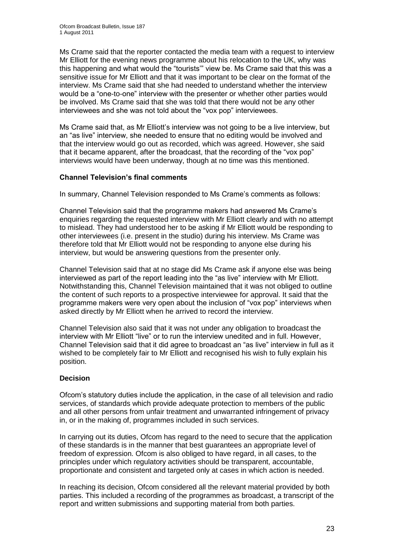Ms Crame said that the reporter contacted the media team with a request to interview Mr Elliott for the evening news programme about his relocation to the UK, why was this happening and what would the "tourists"" view be. Ms Crame said that this was a sensitive issue for Mr Elliott and that it was important to be clear on the format of the interview. Ms Crame said that she had needed to understand whether the interview would be a "one-to-one" interview with the presenter or whether other parties would be involved. Ms Crame said that she was told that there would not be any other interviewees and she was not told about the "vox pop" interviewees.

Ms Crame said that, as Mr Elliott's interview was not going to be a live interview, but an "as live" interview, she needed to ensure that no editing would be involved and that the interview would go out as recorded, which was agreed. However, she said that it became apparent, after the broadcast, that the recording of the "vox pop" interviews would have been underway, though at no time was this mentioned.

## **Channel Television's final comments**

In summary, Channel Television responded to Ms Crame"s comments as follows:

Channel Television said that the programme makers had answered Ms Crame"s enquiries regarding the requested interview with Mr Elliott clearly and with no attempt to mislead. They had understood her to be asking if Mr Elliott would be responding to other interviewees (i.e. present in the studio) during his interview. Ms Crame was therefore told that Mr Elliott would not be responding to anyone else during his interview, but would be answering questions from the presenter only.

Channel Television said that at no stage did Ms Crame ask if anyone else was being interviewed as part of the report leading into the "as live" interview with Mr Elliott. Notwithstanding this, Channel Television maintained that it was not obliged to outline the content of such reports to a prospective interviewee for approval. It said that the programme makers were very open about the inclusion of "vox pop" interviews when asked directly by Mr Elliott when he arrived to record the interview.

Channel Television also said that it was not under any obligation to broadcast the interview with Mr Elliott "live" or to run the interview unedited and in full. However, Channel Television said that it did agree to broadcast an "as live" interview in full as it wished to be completely fair to Mr Elliott and recognised his wish to fully explain his position.

## **Decision**

Ofcom"s statutory duties include the application, in the case of all television and radio services, of standards which provide adequate protection to members of the public and all other persons from unfair treatment and unwarranted infringement of privacy in, or in the making of, programmes included in such services.

In carrying out its duties, Ofcom has regard to the need to secure that the application of these standards is in the manner that best guarantees an appropriate level of freedom of expression. Ofcom is also obliged to have regard, in all cases, to the principles under which regulatory activities should be transparent, accountable, proportionate and consistent and targeted only at cases in which action is needed.

In reaching its decision, Ofcom considered all the relevant material provided by both parties. This included a recording of the programmes as broadcast, a transcript of the report and written submissions and supporting material from both parties.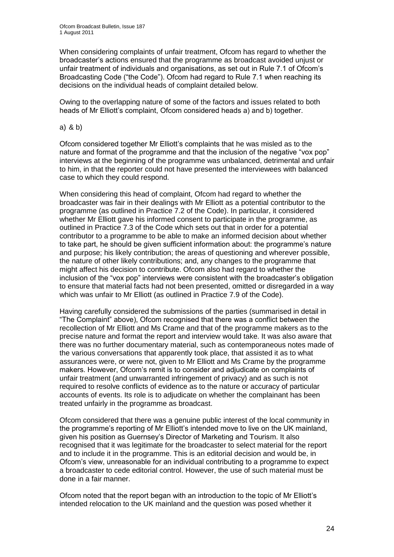When considering complaints of unfair treatment, Ofcom has regard to whether the broadcaster"s actions ensured that the programme as broadcast avoided unjust or unfair treatment of individuals and organisations, as set out in Rule 7.1 of Ofcom"s Broadcasting Code ("the Code"). Ofcom had regard to Rule 7.1 when reaching its decisions on the individual heads of complaint detailed below.

Owing to the overlapping nature of some of the factors and issues related to both heads of Mr Elliott's complaint, Ofcom considered heads a) and b) together.

#### a) & b)

Ofcom considered together Mr Elliott"s complaints that he was misled as to the nature and format of the programme and that the inclusion of the negative "vox pop" interviews at the beginning of the programme was unbalanced, detrimental and unfair to him, in that the reporter could not have presented the interviewees with balanced case to which they could respond.

When considering this head of complaint, Ofcom had regard to whether the broadcaster was fair in their dealings with Mr Elliott as a potential contributor to the programme (as outlined in Practice 7.2 of the Code). In particular, it considered whether Mr Elliott gave his informed consent to participate in the programme, as outlined in Practice 7.3 of the Code which sets out that in order for a potential contributor to a programme to be able to make an informed decision about whether to take part, he should be given sufficient information about: the programme"s nature and purpose; his likely contribution; the areas of questioning and wherever possible, the nature of other likely contributions; and, any changes to the programme that might affect his decision to contribute. Ofcom also had regard to whether the inclusion of the "vox pop" interviews were consistent with the broadcaster"s obligation to ensure that material facts had not been presented, omitted or disregarded in a way which was unfair to Mr Elliott (as outlined in Practice 7.9 of the Code).

Having carefully considered the submissions of the parties (summarised in detail in "The Complaint" above), Ofcom recognised that there was a conflict between the recollection of Mr Elliott and Ms Crame and that of the programme makers as to the precise nature and format the report and interview would take. It was also aware that there was no further documentary material, such as contemporaneous notes made of the various conversations that apparently took place, that assisted it as to what assurances were, or were not, given to Mr Elliott and Ms Crame by the programme makers. However, Ofcom"s remit is to consider and adjudicate on complaints of unfair treatment (and unwarranted infringement of privacy) and as such is not required to resolve conflicts of evidence as to the nature or accuracy of particular accounts of events. Its role is to adjudicate on whether the complainant has been treated unfairly in the programme as broadcast.

Ofcom considered that there was a genuine public interest of the local community in the programme"s reporting of Mr Elliott"s intended move to live on the UK mainland, given his position as Guernsey"s Director of Marketing and Tourism. It also recognised that it was legitimate for the broadcaster to select material for the report and to include it in the programme. This is an editorial decision and would be, in Ofcom"s view, unreasonable for an individual contributing to a programme to expect a broadcaster to cede editorial control. However, the use of such material must be done in a fair manner.

Ofcom noted that the report began with an introduction to the topic of Mr Elliott"s intended relocation to the UK mainland and the question was posed whether it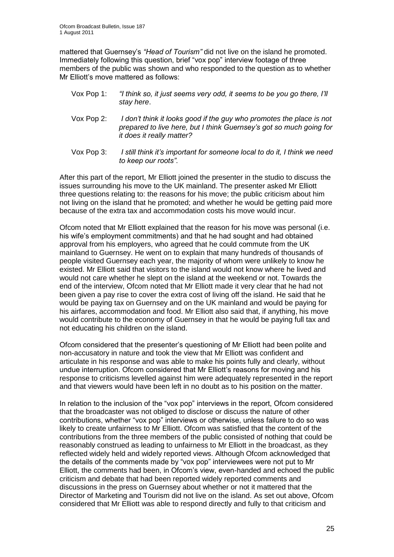mattered that Guernsey"s *"Head of Tourism"* did not live on the island he promoted. Immediately following this question, brief "vox pop" interview footage of three members of the public was shown and who responded to the question as to whether Mr Elliott's move mattered as follows:

- Vox Pop 1: *"I think so, it just seems very odd, it seems to be you go there, I'll stay here*.
- Vox Pop 2: *I don't think it looks good if the guy who promotes the place is not prepared to live here, but I think Guernsey's got so much going for it does it really matter?*
- Vox Pop 3: *I still think it's important for someone local to do it, I think we need to keep our roots"*.

After this part of the report, Mr Elliott joined the presenter in the studio to discuss the issues surrounding his move to the UK mainland. The presenter asked Mr Elliott three questions relating to: the reasons for his move; the public criticism about him not living on the island that he promoted; and whether he would be getting paid more because of the extra tax and accommodation costs his move would incur.

Ofcom noted that Mr Elliott explained that the reason for his move was personal (i.e. his wife"s employment commitments) and that he had sought and had obtained approval from his employers, who agreed that he could commute from the UK mainland to Guernsey. He went on to explain that many hundreds of thousands of people visited Guernsey each year, the majority of whom were unlikely to know he existed. Mr Elliott said that visitors to the island would not know where he lived and would not care whether he slept on the island at the weekend or not. Towards the end of the interview, Ofcom noted that Mr Elliott made it very clear that he had not been given a pay rise to cover the extra cost of living off the island. He said that he would be paying tax on Guernsey and on the UK mainland and would be paying for his airfares, accommodation and food. Mr Elliott also said that, if anything, his move would contribute to the economy of Guernsey in that he would be paying full tax and not educating his children on the island.

Ofcom considered that the presenter"s questioning of Mr Elliott had been polite and non-accusatory in nature and took the view that Mr Elliott was confident and articulate in his response and was able to make his points fully and clearly, without undue interruption. Ofcom considered that Mr Elliott"s reasons for moving and his response to criticisms levelled against him were adequately represented in the report and that viewers would have been left in no doubt as to his position on the matter.

In relation to the inclusion of the "vox pop" interviews in the report, Ofcom considered that the broadcaster was not obliged to disclose or discuss the nature of other contributions, whether "vox pop" interviews or otherwise, unless failure to do so was likely to create unfairness to Mr Elliott. Ofcom was satisfied that the content of the contributions from the three members of the public consisted of nothing that could be reasonably construed as leading to unfairness to Mr Elliott in the broadcast, as they reflected widely held and widely reported views. Although Ofcom acknowledged that the details of the comments made by "vox pop" interviewees were not put to Mr Elliott, the comments had been, in Ofcom"s view, even-handed and echoed the public criticism and debate that had been reported widely reported comments and discussions in the press on Guernsey about whether or not it mattered that the Director of Marketing and Tourism did not live on the island. As set out above, Ofcom considered that Mr Elliott was able to respond directly and fully to that criticism and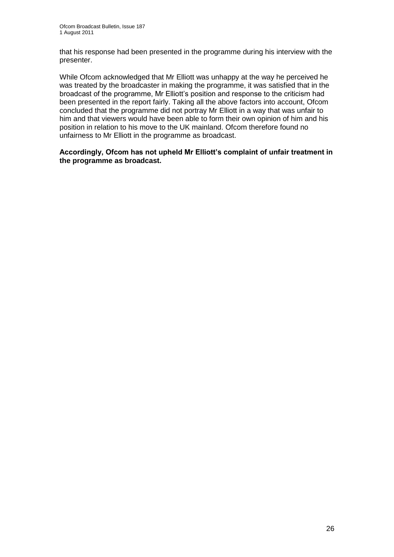that his response had been presented in the programme during his interview with the presenter.

While Ofcom acknowledged that Mr Elliott was unhappy at the way he perceived he was treated by the broadcaster in making the programme, it was satisfied that in the broadcast of the programme, Mr Elliott"s position and response to the criticism had been presented in the report fairly. Taking all the above factors into account, Ofcom concluded that the programme did not portray Mr Elliott in a way that was unfair to him and that viewers would have been able to form their own opinion of him and his position in relation to his move to the UK mainland. Ofcom therefore found no unfairness to Mr Elliott in the programme as broadcast.

**Accordingly, Ofcom has not upheld Mr Elliott's complaint of unfair treatment in the programme as broadcast.**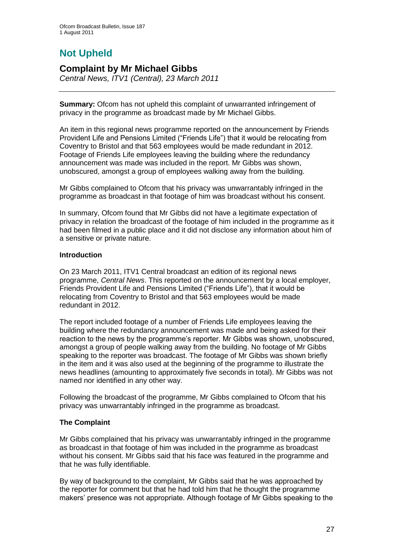# **Not Upheld**

## **Complaint by Mr Michael Gibbs**

*Central News, ITV1 (Central), 23 March 2011*

**Summary:** Ofcom has not upheld this complaint of unwarranted infringement of privacy in the programme as broadcast made by Mr Michael Gibbs.

An item in this regional news programme reported on the announcement by Friends Provident Life and Pensions Limited ("Friends Life") that it would be relocating from Coventry to Bristol and that 563 employees would be made redundant in 2012. Footage of Friends Life employees leaving the building where the redundancy announcement was made was included in the report. Mr Gibbs was shown, unobscured, amongst a group of employees walking away from the building.

Mr Gibbs complained to Ofcom that his privacy was unwarrantably infringed in the programme as broadcast in that footage of him was broadcast without his consent.

In summary, Ofcom found that Mr Gibbs did not have a legitimate expectation of privacy in relation the broadcast of the footage of him included in the programme as it had been filmed in a public place and it did not disclose any information about him of a sensitive or private nature.

## **Introduction**

On 23 March 2011, ITV1 Central broadcast an edition of its regional news programme, *Central News*. This reported on the announcement by a local employer, Friends Provident Life and Pensions Limited ("Friends Life"), that it would be relocating from Coventry to Bristol and that 563 employees would be made redundant in 2012.

The report included footage of a number of Friends Life employees leaving the building where the redundancy announcement was made and being asked for their reaction to the news by the programme's reporter. Mr Gibbs was shown, unobscured, amongst a group of people walking away from the building. No footage of Mr Gibbs speaking to the reporter was broadcast. The footage of Mr Gibbs was shown briefly in the item and it was also used at the beginning of the programme to illustrate the news headlines (amounting to approximately five seconds in total). Mr Gibbs was not named nor identified in any other way.

Following the broadcast of the programme, Mr Gibbs complained to Ofcom that his privacy was unwarrantably infringed in the programme as broadcast.

## **The Complaint**

Mr Gibbs complained that his privacy was unwarrantably infringed in the programme as broadcast in that footage of him was included in the programme as broadcast without his consent. Mr Gibbs said that his face was featured in the programme and that he was fully identifiable.

By way of background to the complaint, Mr Gibbs said that he was approached by the reporter for comment but that he had told him that he thought the programme makers" presence was not appropriate. Although footage of Mr Gibbs speaking to the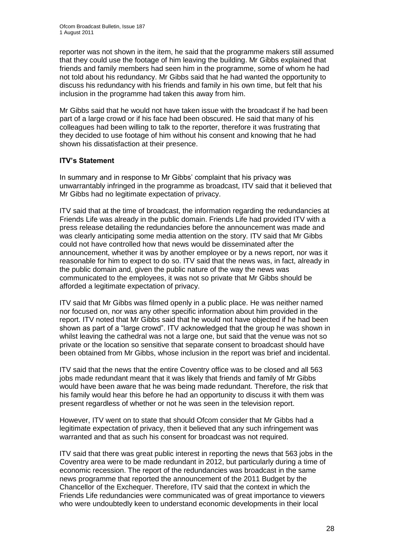reporter was not shown in the item, he said that the programme makers still assumed that they could use the footage of him leaving the building. Mr Gibbs explained that friends and family members had seen him in the programme, some of whom he had not told about his redundancy. Mr Gibbs said that he had wanted the opportunity to discuss his redundancy with his friends and family in his own time, but felt that his inclusion in the programme had taken this away from him.

Mr Gibbs said that he would not have taken issue with the broadcast if he had been part of a large crowd or if his face had been obscured. He said that many of his colleagues had been willing to talk to the reporter, therefore it was frustrating that they decided to use footage of him without his consent and knowing that he had shown his dissatisfaction at their presence.

## **ITV's Statement**

In summary and in response to Mr Gibbs" complaint that his privacy was unwarrantably infringed in the programme as broadcast, ITV said that it believed that Mr Gibbs had no legitimate expectation of privacy.

ITV said that at the time of broadcast, the information regarding the redundancies at Friends Life was already in the public domain. Friends Life had provided ITV with a press release detailing the redundancies before the announcement was made and was clearly anticipating some media attention on the story. ITV said that Mr Gibbs could not have controlled how that news would be disseminated after the announcement, whether it was by another employee or by a news report, nor was it reasonable for him to expect to do so. ITV said that the news was, in fact, already in the public domain and, given the public nature of the way the news was communicated to the employees, it was not so private that Mr Gibbs should be afforded a legitimate expectation of privacy.

ITV said that Mr Gibbs was filmed openly in a public place. He was neither named nor focused on, nor was any other specific information about him provided in the report. ITV noted that Mr Gibbs said that he would not have objected if he had been shown as part of a "large crowd". ITV acknowledged that the group he was shown in whilst leaving the cathedral was not a large one, but said that the venue was not so private or the location so sensitive that separate consent to broadcast should have been obtained from Mr Gibbs, whose inclusion in the report was brief and incidental.

ITV said that the news that the entire Coventry office was to be closed and all 563 jobs made redundant meant that it was likely that friends and family of Mr Gibbs would have been aware that he was being made redundant. Therefore, the risk that his family would hear this before he had an opportunity to discuss it with them was present regardless of whether or not he was seen in the television report.

However, ITV went on to state that should Ofcom consider that Mr Gibbs had a legitimate expectation of privacy, then it believed that any such infringement was warranted and that as such his consent for broadcast was not required.

ITV said that there was great public interest in reporting the news that 563 jobs in the Coventry area were to be made redundant in 2012, but particularly during a time of economic recession. The report of the redundancies was broadcast in the same news programme that reported the announcement of the 2011 Budget by the Chancellor of the Exchequer. Therefore, ITV said that the context in which the Friends Life redundancies were communicated was of great importance to viewers who were undoubtedly keen to understand economic developments in their local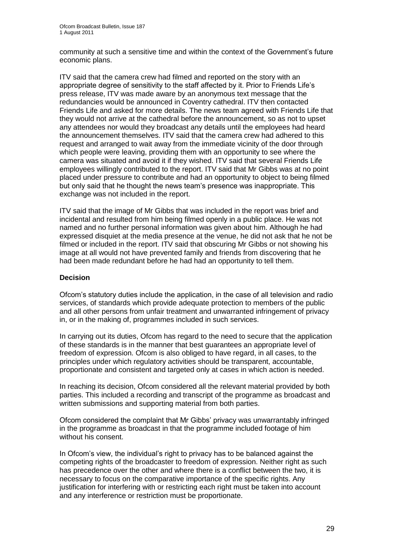community at such a sensitive time and within the context of the Government"s future economic plans.

ITV said that the camera crew had filmed and reported on the story with an appropriate degree of sensitivity to the staff affected by it. Prior to Friends Life"s press release, ITV was made aware by an anonymous text message that the redundancies would be announced in Coventry cathedral. ITV then contacted Friends Life and asked for more details. The news team agreed with Friends Life that they would not arrive at the cathedral before the announcement, so as not to upset any attendees nor would they broadcast any details until the employees had heard the announcement themselves. ITV said that the camera crew had adhered to this request and arranged to wait away from the immediate vicinity of the door through which people were leaving, providing them with an opportunity to see where the camera was situated and avoid it if they wished. ITV said that several Friends Life employees willingly contributed to the report. ITV said that Mr Gibbs was at no point placed under pressure to contribute and had an opportunity to object to being filmed but only said that he thought the news team"s presence was inappropriate. This exchange was not included in the report.

ITV said that the image of Mr Gibbs that was included in the report was brief and incidental and resulted from him being filmed openly in a public place. He was not named and no further personal information was given about him. Although he had expressed disquiet at the media presence at the venue, he did not ask that he not be filmed or included in the report. ITV said that obscuring Mr Gibbs or not showing his image at all would not have prevented family and friends from discovering that he had been made redundant before he had had an opportunity to tell them.

## **Decision**

Ofcom"s statutory duties include the application, in the case of all television and radio services, of standards which provide adequate protection to members of the public and all other persons from unfair treatment and unwarranted infringement of privacy in, or in the making of, programmes included in such services.

In carrying out its duties, Ofcom has regard to the need to secure that the application of these standards is in the manner that best guarantees an appropriate level of freedom of expression. Ofcom is also obliged to have regard, in all cases, to the principles under which regulatory activities should be transparent, accountable, proportionate and consistent and targeted only at cases in which action is needed.

In reaching its decision, Ofcom considered all the relevant material provided by both parties. This included a recording and transcript of the programme as broadcast and written submissions and supporting material from both parties.

Ofcom considered the complaint that Mr Gibbs" privacy was unwarrantably infringed in the programme as broadcast in that the programme included footage of him without his consent.

In Ofcom"s view, the individual"s right to privacy has to be balanced against the competing rights of the broadcaster to freedom of expression. Neither right as such has precedence over the other and where there is a conflict between the two, it is necessary to focus on the comparative importance of the specific rights. Any justification for interfering with or restricting each right must be taken into account and any interference or restriction must be proportionate.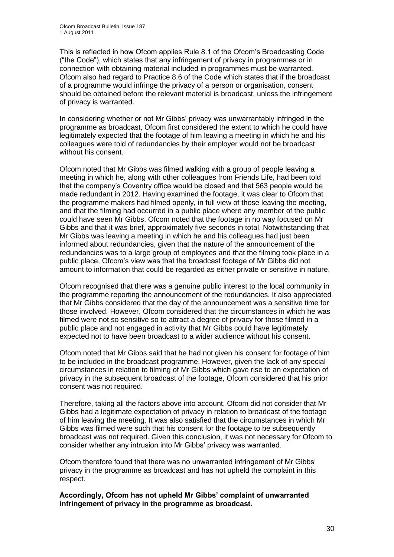This is reflected in how Ofcom applies Rule 8.1 of the Ofcom"s Broadcasting Code ("the Code"), which states that any infringement of privacy in programmes or in connection with obtaining material included in programmes must be warranted. Ofcom also had regard to Practice 8.6 of the Code which states that if the broadcast of a programme would infringe the privacy of a person or organisation, consent should be obtained before the relevant material is broadcast, unless the infringement of privacy is warranted.

In considering whether or not Mr Gibbs" privacy was unwarrantably infringed in the programme as broadcast, Ofcom first considered the extent to which he could have legitimately expected that the footage of him leaving a meeting in which he and his colleagues were told of redundancies by their employer would not be broadcast without his consent.

Ofcom noted that Mr Gibbs was filmed walking with a group of people leaving a meeting in which he, along with other colleagues from Friends Life, had been told that the company"s Coventry office would be closed and that 563 people would be made redundant in 2012. Having examined the footage, it was clear to Ofcom that the programme makers had filmed openly, in full view of those leaving the meeting, and that the filming had occurred in a public place where any member of the public could have seen Mr Gibbs. Ofcom noted that the footage in no way focused on Mr Gibbs and that it was brief, approximately five seconds in total. Notwithstanding that Mr Gibbs was leaving a meeting in which he and his colleagues had just been informed about redundancies, given that the nature of the announcement of the redundancies was to a large group of employees and that the filming took place in a public place, Ofcom"s view was that the broadcast footage of Mr Gibbs did not amount to information that could be regarded as either private or sensitive in nature.

Ofcom recognised that there was a genuine public interest to the local community in the programme reporting the announcement of the redundancies. It also appreciated that Mr Gibbs considered that the day of the announcement was a sensitive time for those involved. However, Ofcom considered that the circumstances in which he was filmed were not so sensitive so to attract a degree of privacy for those filmed in a public place and not engaged in activity that Mr Gibbs could have legitimately expected not to have been broadcast to a wider audience without his consent.

Ofcom noted that Mr Gibbs said that he had not given his consent for footage of him to be included in the broadcast programme. However, given the lack of any special circumstances in relation to filming of Mr Gibbs which gave rise to an expectation of privacy in the subsequent broadcast of the footage, Ofcom considered that his prior consent was not required.

Therefore, taking all the factors above into account, Ofcom did not consider that Mr Gibbs had a legitimate expectation of privacy in relation to broadcast of the footage of him leaving the meeting. It was also satisfied that the circumstances in which Mr Gibbs was filmed were such that his consent for the footage to be subsequently broadcast was not required. Given this conclusion, it was not necessary for Ofcom to consider whether any intrusion into Mr Gibbs" privacy was warranted.

Ofcom therefore found that there was no unwarranted infringement of Mr Gibbs" privacy in the programme as broadcast and has not upheld the complaint in this respect.

**Accordingly, Ofcom has not upheld Mr Gibbs' complaint of unwarranted infringement of privacy in the programme as broadcast.**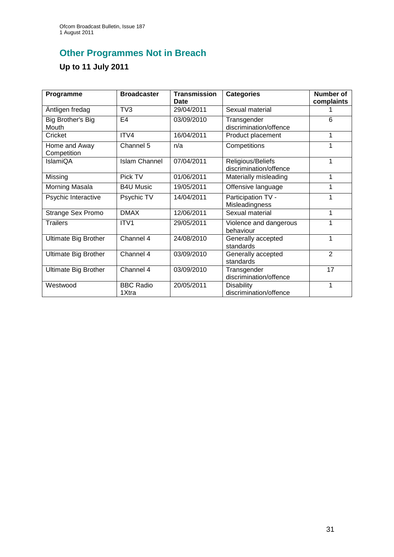# **Other Programmes Not in Breach**

# **Up to 11 July 2011**

| Programme                    | <b>Broadcaster</b>        | <b>Transmission</b><br>Date | <b>Categories</b>                           | <b>Number of</b><br>complaints |
|------------------------------|---------------------------|-----------------------------|---------------------------------------------|--------------------------------|
| Äntligen fredag              | TV <sub>3</sub>           | 29/04/2011                  | Sexual material                             |                                |
| Big Brother's Big<br>Mouth   | E4                        | 03/09/2010                  | Transgender<br>discrimination/offence       | 6                              |
| Cricket                      | ITV4                      | 16/04/2011                  | Product placement                           | 1                              |
| Home and Away<br>Competition | Channel 5                 | n/a                         | Competitions                                | 1                              |
| IslamiQA                     | <b>Islam Channel</b>      | 07/04/2011                  | Religious/Beliefs<br>discrimination/offence | 1                              |
| Missing                      | Pick TV                   | 01/06/2011                  | Materially misleading                       | 1                              |
| Morning Masala               | <b>B4U Music</b>          | 19/05/2011                  | Offensive language                          | 1                              |
| Psychic Interactive          | Psychic TV                | 14/04/2011                  | Participation TV -<br>Misleadingness        | 1                              |
| <b>Strange Sex Promo</b>     | <b>DMAX</b>               | 12/06/2011                  | Sexual material                             | 1                              |
| <b>Trailers</b>              | ITV <sub>1</sub>          | 29/05/2011                  | Violence and dangerous<br>behaviour         | 1                              |
| <b>Ultimate Big Brother</b>  | Channel 4                 | 24/08/2010                  | Generally accepted<br>standards             | 1                              |
| <b>Ultimate Big Brother</b>  | Channel 4                 | 03/09/2010                  | Generally accepted<br>standards             | $\overline{2}$                 |
| <b>Ultimate Big Brother</b>  | Channel 4                 | 03/09/2010                  | Transgender<br>discrimination/offence       | 17                             |
| Westwood                     | <b>BBC Radio</b><br>1Xtra | 20/05/2011                  | <b>Disability</b><br>discrimination/offence | 1                              |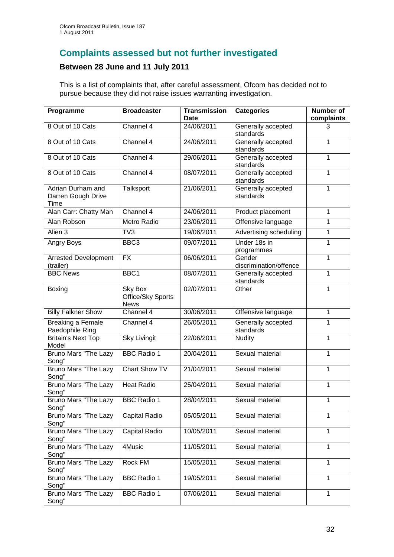## **Complaints assessed but not further investigated**

## **Between 28 June and 11 July 2011**

This is a list of complaints that, after careful assessment, Ofcom has decided not to pursue because they did not raise issues warranting investigation.

| Programme                                       | <b>Broadcaster</b>                          | <b>Transmission</b><br>Date | <b>Categories</b>                | Number of<br>complaints |
|-------------------------------------------------|---------------------------------------------|-----------------------------|----------------------------------|-------------------------|
| 8 Out of 10 Cats                                | Channel $\overline{4}$                      | 24/06/2011                  | Generally accepted<br>standards  | 3                       |
| 8 Out of 10 Cats                                | Channel 4                                   | 24/06/2011                  | Generally accepted<br>standards  | 1                       |
| 8 Out of 10 Cats                                | Channel 4                                   | 29/06/2011                  | Generally accepted<br>standards  | 1                       |
| 8 Out of 10 Cats                                | Channel 4                                   | 08/07/2011                  | Generally accepted<br>standards  | 1                       |
| Adrian Durham and<br>Darren Gough Drive<br>Time | Talksport                                   | 21/06/2011                  | Generally accepted<br>standards  | 1                       |
| Alan Carr: Chatty Man                           | Channel 4                                   | 24/06/2011                  | Product placement                | 1                       |
| Alan Robson                                     | Metro Radio                                 | 23/06/2011                  | Offensive language               | 1                       |
| Alien 3                                         | TV <sub>3</sub>                             | 19/06/2011                  | Advertising scheduling           | 1                       |
| Angry Boys                                      | BBC <sub>3</sub>                            | 09/07/2011                  | Under 18s in<br>programmes       | 1                       |
| <b>Arrested Development</b><br>(trailer)        | <b>FX</b>                                   | 06/06/2011                  | Gender<br>discrimination/offence | 1                       |
| <b>BBC News</b>                                 | BBC1                                        | 08/07/2011                  | Generally accepted<br>standards  | 1                       |
| Boxing                                          | Sky Box<br>Office/Sky Sports<br><b>News</b> | 02/07/2011                  | Other                            | 1                       |
| <b>Billy Falkner Show</b>                       | Channel 4                                   | 30/06/2011                  | Offensive language               | 1                       |
| Breaking a Female<br>Paedophile Ring            | Channel 4                                   | 26/05/2011                  | Generally accepted<br>standards  | 1                       |
| <b>Britain's Next Top</b><br>Model              | Sky Livingit                                | 22/06/2011                  | <b>Nudity</b>                    | $\mathbf{1}$            |
| Bruno Mars "The Lazy<br>Song"                   | <b>BBC Radio 1</b>                          | 20/04/2011                  | Sexual material                  | $\mathbf{1}$            |
| <b>Bruno Mars "The Lazy</b><br>Song"            | Chart Show TV                               | 21/04/2011                  | Sexual material                  | 1                       |
| Bruno Mars "The Lazy<br>Song"                   | <b>Heat Radio</b>                           | 25/04/2011                  | Sexual material                  | 1                       |
| <b>Bruno Mars "The Lazy</b><br>Song"            | <b>BBC Radio 1</b>                          | 28/04/2011                  | Sexual material                  | 1                       |
| Bruno Mars "The Lazy<br>Song"                   | Capital Radio                               | 05/05/2011                  | Sexual material                  | 1                       |
| Bruno Mars "The Lazy<br>Song"                   | <b>Capital Radio</b>                        | 10/05/2011                  | Sexual material                  | 1                       |
| Bruno Mars "The Lazy<br>Song"                   | 4Music                                      | 11/05/2011                  | Sexual material                  | 1                       |
| Bruno Mars "The Lazy<br>Song"                   | Rock FM                                     | 15/05/2011                  | Sexual material                  | 1                       |
| <b>Bruno Mars "The Lazy</b><br>Song"            | <b>BBC Radio 1</b>                          | 19/05/2011                  | Sexual material                  | 1                       |
| Bruno Mars "The Lazy<br>Song"                   | <b>BBC Radio 1</b>                          | 07/06/2011                  | Sexual material                  | 1                       |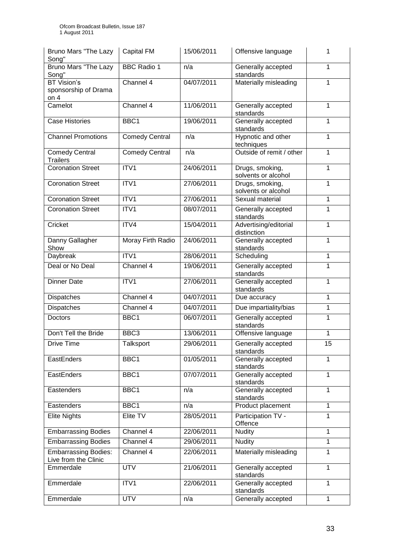| Bruno Mars "The Lazy<br>Song"                       | <b>Capital FM</b>     | 15/06/2011 | Offensive language                     | 1            |
|-----------------------------------------------------|-----------------------|------------|----------------------------------------|--------------|
| Bruno Mars "The Lazy<br>Song"                       | <b>BBC Radio 1</b>    | n/a        | Generally accepted<br>standards        | 1            |
| <b>BT</b> Vision's                                  | Channel 4             | 04/07/2011 | Materially misleading                  | 1            |
| sponsorship of Drama<br>on $4$                      |                       |            |                                        |              |
| Camelot                                             | Channel 4             | 11/06/2011 | Generally accepted<br>standards        | $\mathbf{1}$ |
| <b>Case Histories</b>                               | BBC1                  | 19/06/2011 | Generally accepted<br>standards        | 1            |
| <b>Channel Promotions</b>                           | <b>Comedy Central</b> | n/a        | Hypnotic and other<br>techniques       | $\mathbf{1}$ |
| <b>Comedy Central</b><br><b>Trailers</b>            | <b>Comedy Central</b> | n/a        | Outside of remit / other               | $\mathbf{1}$ |
| <b>Coronation Street</b>                            | ITV1                  | 24/06/2011 | Drugs, smoking,<br>solvents or alcohol | 1            |
| <b>Coronation Street</b>                            | ITV1                  | 27/06/2011 | Drugs, smoking,<br>solvents or alcohol | 1            |
| <b>Coronation Street</b>                            | ITV1                  | 27/06/2011 | Sexual material                        | $\mathbf{1}$ |
| <b>Coronation Street</b>                            | ITV1                  | 08/07/2011 | Generally accepted<br>standards        | $\mathbf 1$  |
| Cricket                                             | ITV4                  | 15/04/2011 | Advertising/editorial<br>distinction   | 1            |
| Danny Gallagher<br>Show                             | Moray Firth Radio     | 24/06/2011 | Generally accepted<br>standards        | 1            |
| Daybreak                                            | ITV1                  | 28/06/2011 | Scheduling                             | $\mathbf{1}$ |
| Deal or No Deal                                     | Channel 4             | 19/06/2011 | Generally accepted<br>standards        | 1            |
| <b>Dinner Date</b>                                  | ITV1                  | 27/06/2011 | Generally accepted<br>standards        | 1            |
| Dispatches                                          | Channel 4             | 04/07/2011 | Due accuracy                           | $\mathbf{1}$ |
| Dispatches                                          | Channel 4             | 04/07/2011 | Due impartiality/bias                  | $\mathbf{1}$ |
| Doctors                                             | BBC1                  | 06/07/2011 | Generally accepted<br>standards        | 1            |
| Don't Tell the Bride                                | BBC3                  | 13/06/2011 | Offensive language                     | 1            |
| Drive Time                                          | Talksport             | 29/06/2011 | Generally accepted<br>standards        | 15           |
| EastEnders                                          | BBC1                  | 01/05/2011 | Generally accepted<br>standards        | $\mathbf{1}$ |
| EastEnders                                          | BBC1                  | 07/07/2011 | Generally accepted<br>standards        | 1            |
| Eastenders                                          | BBC1                  | n/a        | Generally accepted<br>standards        | 1            |
| Eastenders                                          | BBC1                  | n/a        | Product placement                      | $\mathbf{1}$ |
| <b>Elite Nights</b>                                 | Elite TV              | 28/05/2011 | Participation TV -<br>Offence          | 1            |
| <b>Embarrassing Bodies</b>                          | Channel 4             | 22/06/2011 | <b>Nudity</b>                          | $\mathbf{1}$ |
| <b>Embarrassing Bodies</b>                          | Channel 4             | 29/06/2011 | <b>Nudity</b>                          | $\mathbf{1}$ |
| <b>Embarrassing Bodies:</b><br>Live from the Clinic | Channel 4             | 22/06/2011 | Materially misleading                  | 1            |
| Emmerdale                                           | <b>UTV</b>            | 21/06/2011 | Generally accepted<br>standards        | 1            |
| Emmerdale                                           | ITV1                  | 22/06/2011 | Generally accepted<br>standards        | $\mathbf{1}$ |
| Emmerdale                                           | <b>UTV</b>            | n/a        | Generally accepted                     | 1            |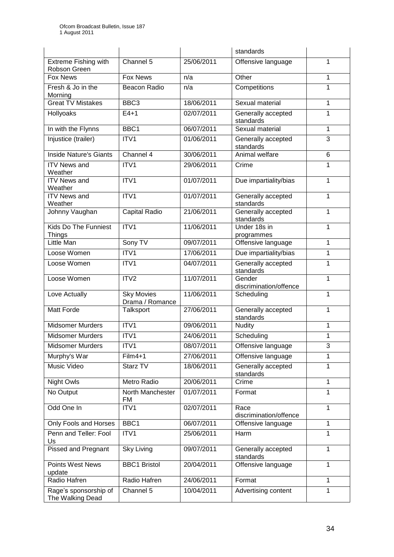|                                              |                                      |            | standards                        |              |
|----------------------------------------------|--------------------------------------|------------|----------------------------------|--------------|
| <b>Extreme Fishing with</b><br>Robson Green  | Channel 5                            | 25/06/2011 | Offensive language               | 1            |
| <b>Fox News</b>                              | <b>Fox News</b>                      | n/a        | Other                            | 1            |
| Fresh & Jo in the<br>Morning                 | Beacon Radio                         | n/a        | Competitions                     | $\mathbf{1}$ |
| <b>Great TV Mistakes</b>                     | BBC <sub>3</sub>                     | 18/06/2011 | Sexual material                  | 1            |
| Hollyoaks                                    | $E4+1$                               | 02/07/2011 | Generally accepted<br>standards  | $\mathbf{1}$ |
| In with the Flynns                           | BBC <sub>1</sub>                     | 06/07/2011 | Sexual material                  | 1            |
| Injustice (trailer)                          | ITV1                                 | 01/06/2011 | Generally accepted<br>standards  | 3            |
| <b>Inside Nature's Giants</b>                | Channel 4                            | 30/06/2011 | Animal welfare                   | 6            |
| <b>ITV News and</b><br>Weather               | ITV1                                 | 29/06/2011 | Crime                            | 1            |
| <b>ITV News and</b><br>Weather               | ITV1                                 | 01/07/2011 | Due impartiality/bias            | 1            |
| <b>ITV News and</b><br>Weather               | ITV1                                 | 01/07/2011 | Generally accepted<br>standards  | 1            |
| Johnny Vaughan                               | Capital Radio                        | 21/06/2011 | Generally accepted<br>standards  | $\mathbf{1}$ |
| <b>Kids Do The Funniest</b><br><b>Things</b> | ITV1                                 | 11/06/2011 | Under 18s in<br>programmes       | 1            |
| Little Man                                   | Sony TV                              | 09/07/2011 | Offensive language               | 1            |
| Loose Women                                  | ITV <sub>1</sub>                     | 17/06/2011 | Due impartiality/bias            | 1            |
| Loose Women                                  | ITV1                                 | 04/07/2011 | Generally accepted<br>standards  | $\mathbf{1}$ |
| Loose Women                                  | ITV <sub>2</sub>                     | 11/07/2011 | Gender<br>discrimination/offence | 1            |
| Love Actually                                | <b>Sky Movies</b><br>Drama / Romance | 11/06/2011 | Scheduling                       | 1            |
| <b>Matt Forde</b>                            | Talksport                            | 27/06/2011 | Generally accepted<br>standards  | 1            |
| <b>Midsomer Murders</b>                      | ITV1                                 | 09/06/2011 | <b>Nudity</b>                    | 1            |
| <b>Midsomer Murders</b>                      | ITV1                                 | 24/06/2011 | Scheduling                       | 1            |
| <b>Midsomer Murders</b>                      | ITV <sub>1</sub>                     | 08/07/2011 | Offensive language               | 3            |
| Murphy's War                                 | Film4+1                              | 27/06/2011 | Offensive language               | 1            |
| Music Video                                  | Starz TV                             | 18/06/2011 | Generally accepted<br>standards  | $\mathbf{1}$ |
| Night Owls                                   | <b>Metro Radio</b>                   | 20/06/2011 | Crime                            | 1            |
| No Output                                    | North Manchester<br>FM               | 01/07/2011 | Format                           | $\mathbf{1}$ |
| Odd One In                                   | ITV1                                 | 02/07/2011 | Race<br>discrimination/offence   | 1            |
| Only Fools and Horses                        | BBC1                                 | 06/07/2011 | Offensive language               | $\mathbf{1}$ |
| Penn and Teller: Fool<br>Us                  | ITV1                                 | 25/06/2011 | Harm                             | $\mathbf{1}$ |
| Pissed and Pregnant                          | <b>Sky Living</b>                    | 09/07/2011 | Generally accepted<br>standards  | $\mathbf{1}$ |
| <b>Points West News</b><br>update            | <b>BBC1 Bristol</b>                  | 20/04/2011 | Offensive language               | 1            |
| Radio Hafren                                 | Radio Hafren                         | 24/06/2011 | Format                           | $\mathbf{1}$ |
| Rage's sponsorship of<br>The Walking Dead    | Channel 5                            | 10/04/2011 | Advertising content              | 1            |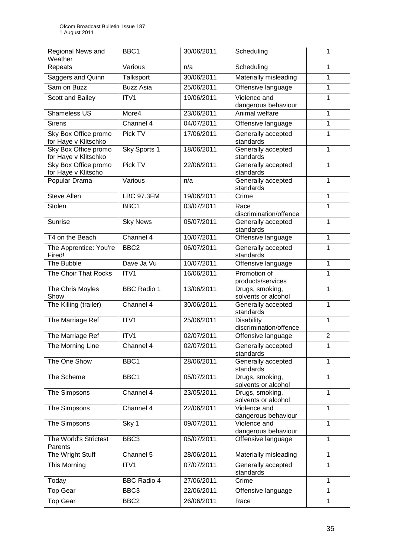| Regional News and<br>Weather                 | BBC <sub>1</sub>   | 30/06/2011 | Scheduling                                  | 1              |
|----------------------------------------------|--------------------|------------|---------------------------------------------|----------------|
| Repeats                                      | Various            | n/a        | Scheduling                                  | 1              |
| Saggers and Quinn                            | Talksport          | 30/06/2011 | Materially misleading                       | $\mathbf{1}$   |
| Sam on Buzz                                  | <b>Buzz Asia</b>   | 25/06/2011 | Offensive language                          | $\mathbf{1}$   |
| Scott and Bailey                             | ITV1               | 19/06/2011 | Violence and<br>dangerous behaviour         | 1              |
| <b>Shameless US</b>                          | More4              | 23/06/2011 | Animal welfare                              | $\mathbf{1}$   |
| <b>Sirens</b>                                | Channel 4          | 04/07/2011 | Offensive language                          | 1              |
| Sky Box Office promo<br>for Haye v Klitschko | Pick TV            | 17/06/2011 | Generally accepted<br>standards             | $\mathbf 1$    |
| Sky Box Office promo<br>for Haye v Klitschko | Sky Sports 1       | 18/06/2011 | Generally accepted<br>standards             | 1              |
| Sky Box Office promo<br>for Haye v Klitscho  | Pick TV            | 22/06/2011 | Generally accepted<br>standards             | $\mathbf{1}$   |
| Popular Drama                                | Various            | n/a        | Generally accepted<br>standards             | $\mathbf{1}$   |
| <b>Steve Allen</b>                           | <b>LBC 97.3FM</b>  | 19/06/2011 | Crime                                       | $\mathbf{1}$   |
| Stolen                                       | BBC1               | 03/07/2011 | Race<br>discrimination/offence              | 1              |
| <b>Sunrise</b>                               | <b>Sky News</b>    | 05/07/2011 | Generally accepted<br>standards             | $\mathbf{1}$   |
| T4 on the Beach                              | Channel 4          | 10/07/2011 | Offensive language                          | $\mathbf{1}$   |
| The Apprentice: You're<br>Fired!             | BBC <sub>2</sub>   | 06/07/2011 | Generally accepted<br>standards             | $\mathbf{1}$   |
| The Bubble                                   | Dave Ja Vu         | 10/07/2011 | Offensive language                          | 1              |
| The Choir That Rocks                         | ITV1               | 16/06/2011 | Promotion of<br>products/services           | 1              |
| The Chris Moyles<br>Show                     | <b>BBC Radio 1</b> | 13/06/2011 | Drugs, smoking,<br>solvents or alcohol      | 1              |
| The Killing (trailer)                        | Channel 4          | 30/06/2011 | Generally accepted<br>standards             | 1              |
| The Marriage Ref                             | ITV1               | 25/06/2011 | <b>Disability</b><br>discrimination/offence | $\mathbf{1}$   |
| The Marriage Ref                             | ITV1               | 02/07/2011 | Offensive language                          | $\overline{2}$ |
| The Morning Line                             | Channel 4          | 02/07/2011 | Generally accepted<br>standards             | 1              |
| The One Show                                 | BBC1               | 28/06/2011 | Generally accepted<br>standards             | $\mathbf{1}$   |
| The Scheme                                   | BBC1               | 05/07/2011 | Drugs, smoking,<br>solvents or alcohol      | $\mathbf{1}$   |
| The Simpsons                                 | Channel 4          | 23/05/2011 | Drugs, smoking,<br>solvents or alcohol      | $\overline{1}$ |
| The Simpsons                                 | Channel 4          | 22/06/2011 | Violence and<br>dangerous behaviour         | $\mathbf{1}$   |
| The Simpsons                                 | Sky 1              | 09/07/2011 | Violence and<br>dangerous behaviour         | 1              |
| The World's Strictest<br>Parents             | BBC3               | 05/07/2011 | Offensive language                          | $\mathbf{1}$   |
| The Wright Stuff                             | Channel 5          | 28/06/2011 | Materially misleading                       | $\mathbf{1}$   |
| This Morning                                 | ITV1               | 07/07/2011 | Generally accepted<br>standards             | $\overline{1}$ |
| Today                                        | <b>BBC Radio 4</b> | 27/06/2011 | Crime                                       | 1              |
| <b>Top Gear</b>                              | BBC3               | 22/06/2011 | Offensive language                          | $\mathbf{1}$   |
| <b>Top Gear</b>                              | BBC <sub>2</sub>   | 26/06/2011 | Race                                        | $\mathbf{1}$   |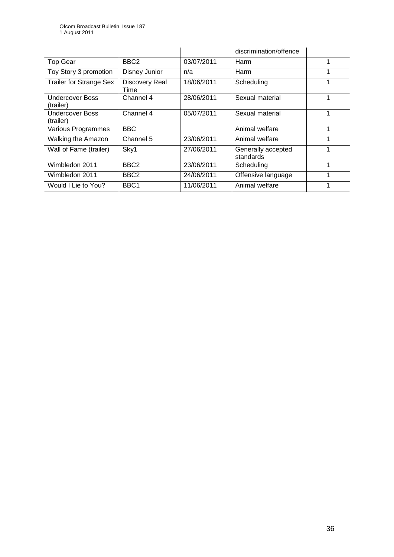|                                     |                        |            | discrimination/offence          |  |
|-------------------------------------|------------------------|------------|---------------------------------|--|
| <b>Top Gear</b>                     | BBC <sub>2</sub>       | 03/07/2011 | Harm                            |  |
| Toy Story 3 promotion               | Disney Junior          | n/a        | Harm                            |  |
| <b>Trailer for Strange Sex</b>      | Discovery Real<br>Time | 18/06/2011 | Scheduling                      |  |
| <b>Undercover Boss</b><br>(trailer) | Channel 4              | 28/06/2011 | Sexual material                 |  |
| <b>Undercover Boss</b><br>(trailer) | Channel 4              | 05/07/2011 | Sexual material                 |  |
| Various Programmes                  | <b>BBC</b>             |            | Animal welfare                  |  |
| Walking the Amazon                  | Channel 5              | 23/06/2011 | Animal welfare                  |  |
| Wall of Fame (trailer)              | Sky1                   | 27/06/2011 | Generally accepted<br>standards |  |
| Wimbledon 2011                      | BBC <sub>2</sub>       | 23/06/2011 | Scheduling                      |  |
| Wimbledon 2011                      | BBC <sub>2</sub>       | 24/06/2011 | Offensive language              |  |
| Would I Lie to You?                 | BBC <sub>1</sub>       | 11/06/2011 | Animal welfare                  |  |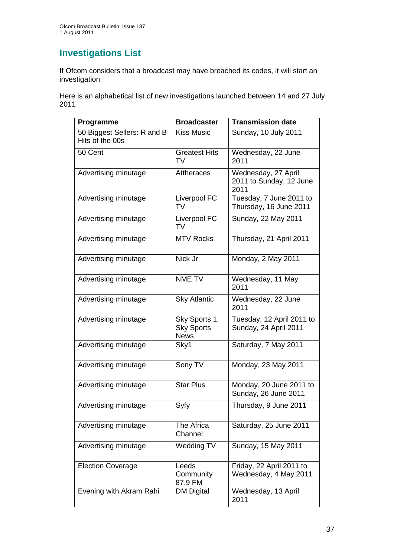# **Investigations List**

If Ofcom considers that a broadcast may have breached its codes, it will start an investigation.

Here is an alphabetical list of new investigations launched between 14 and 27 July 2011

| Programme                                      | <b>Broadcaster</b>                                | <b>Transmission date</b>                               |
|------------------------------------------------|---------------------------------------------------|--------------------------------------------------------|
| 50 Biggest Sellers: R and B<br>Hits of the 00s | <b>Kiss Music</b>                                 | Sunday, 10 July 2011                                   |
| 50 Cent                                        | <b>Greatest Hits</b><br>TV                        | Wednesday, 22 June<br>2011                             |
| Advertising minutage                           | <b>Attheraces</b>                                 | Wednesday, 27 April<br>2011 to Sunday, 12 June<br>2011 |
| Advertising minutage                           | Liverpool FC<br>TV                                | Tuesday, 7 June 2011 to<br>Thursday, 16 June 2011      |
| Advertising minutage                           | Liverpool FC<br>TV                                | Sunday, 22 May 2011                                    |
| Advertising minutage                           | <b>MTV Rocks</b>                                  | Thursday, 21 April 2011                                |
| Advertising minutage                           | Nick Jr                                           | Monday, 2 May 2011                                     |
| Advertising minutage                           | NME TV                                            | Wednesday, 11 May<br>2011                              |
| Advertising minutage                           | <b>Sky Atlantic</b>                               | Wednesday, 22 June<br>2011                             |
| Advertising minutage                           | Sky Sports 1,<br><b>Sky Sports</b><br><b>News</b> | Tuesday, 12 April 2011 to<br>Sunday, 24 April 2011     |
| Advertising minutage                           | Sky1                                              | Saturday, 7 May 2011                                   |
| Advertising minutage                           | Sony TV                                           | Monday, 23 May 2011                                    |
| Advertising minutage                           | <b>Star Plus</b>                                  | Monday, 20 June 2011 to<br>Sunday, 26 June 2011        |
| Advertising minutage                           | Syfy                                              | Thursday, 9 June 2011                                  |
| Advertising minutage                           | The Africa<br>Channel                             | Saturday, 25 June 2011                                 |
| Advertising minutage                           | Wedding TV                                        | Sunday, 15 May 2011                                    |
| <b>Election Coverage</b>                       | Leeds<br>Community<br>87.9 FM                     | Friday, 22 April 2011 to<br>Wednesday, 4 May 2011      |
| Evening with Akram Rahi                        | <b>DM Digital</b>                                 | Wednesday, 13 April<br>2011                            |